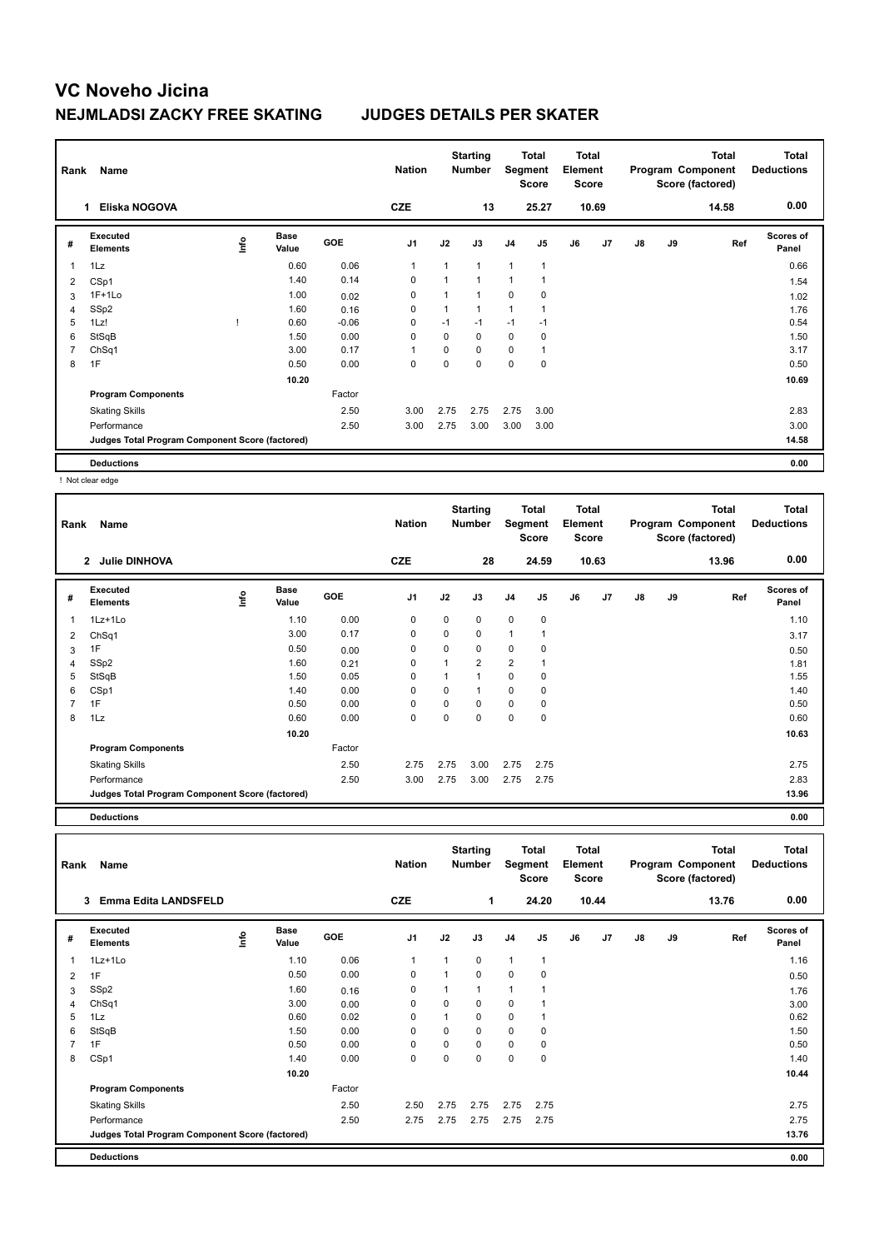| Rank           | Name                                            |    |                      |            | <b>Nation</b>  |              | <b>Starting</b><br><b>Number</b> | Segment        | Total<br><b>Score</b> | <b>Total</b><br>Element<br>Score |                |               |    | <b>Total</b><br>Program Component<br>Score (factored) | Total<br><b>Deductions</b> |
|----------------|-------------------------------------------------|----|----------------------|------------|----------------|--------------|----------------------------------|----------------|-----------------------|----------------------------------|----------------|---------------|----|-------------------------------------------------------|----------------------------|
|                | Eliska NOGOVA                                   |    |                      |            | <b>CZE</b>     |              | 13                               |                | 25.27                 |                                  | 10.69          |               |    | 14.58                                                 | 0.00                       |
| #              | Executed<br><b>Elements</b>                     | ۴ů | <b>Base</b><br>Value | <b>GOE</b> | J <sub>1</sub> | J2           | J3                               | J <sub>4</sub> | J <sub>5</sub>        | J6                               | J <sub>7</sub> | $\mathsf{J}8$ | J9 | Ref                                                   | <b>Scores of</b><br>Panel  |
| 1              | 1Lz                                             |    | 0.60                 | 0.06       | $\overline{1}$ | $\mathbf{1}$ | $\mathbf{1}$                     | 1              | $\mathbf{1}$          |                                  |                |               |    |                                                       | 0.66                       |
| 2              | CSp1                                            |    | 1.40                 | 0.14       | 0              | 1            | 1                                | 1              |                       |                                  |                |               |    |                                                       | 1.54                       |
| 3              | $1F+1Lo$                                        |    | 1.00                 | 0.02       | $\Omega$       | $\mathbf{1}$ | $\overline{1}$                   | $\mathbf 0$    | $\mathbf 0$           |                                  |                |               |    |                                                       | 1.02                       |
| $\overline{4}$ | SSp2                                            |    | 1.60                 | 0.16       | $\mathbf 0$    |              | $\overline{1}$                   | 1              |                       |                                  |                |               |    |                                                       | 1.76                       |
| 5              | 1Lz!                                            |    | 0.60                 | $-0.06$    | 0              | $-1$         | $-1$                             | $-1$           | $-1$                  |                                  |                |               |    |                                                       | 0.54                       |
| 6              | StSqB                                           |    | 1.50                 | 0.00       | $\mathbf 0$    | 0            | $\mathbf 0$                      | $\mathbf 0$    | 0                     |                                  |                |               |    |                                                       | 1.50                       |
| $\overline{7}$ | ChSq1                                           |    | 3.00                 | 0.17       | $\overline{1}$ | 0            | $\mathbf 0$                      | $\mathbf 0$    | $\mathbf{1}$          |                                  |                |               |    |                                                       | 3.17                       |
| 8              | 1F                                              |    | 0.50                 | 0.00       | 0              | $\mathbf 0$  | $\Omega$                         | 0              | $\mathbf 0$           |                                  |                |               |    |                                                       | 0.50                       |
|                |                                                 |    | 10.20                |            |                |              |                                  |                |                       |                                  |                |               |    |                                                       | 10.69                      |
|                | <b>Program Components</b>                       |    |                      | Factor     |                |              |                                  |                |                       |                                  |                |               |    |                                                       |                            |
|                | <b>Skating Skills</b>                           |    |                      | 2.50       | 3.00           | 2.75         | 2.75                             | 2.75           | 3.00                  |                                  |                |               |    |                                                       | 2.83                       |
|                | Performance                                     |    |                      | 2.50       | 3.00           | 2.75         | 3.00                             | 3.00           | 3.00                  |                                  |                |               |    |                                                       | 3.00                       |
|                | Judges Total Program Component Score (factored) |    |                      |            |                |              |                                  |                |                       |                                  |                |               |    |                                                       | 14.58                      |
|                | <b>Deductions</b>                               |    |                      |            |                |              |                                  |                |                       |                                  |                |               |    |                                                       | 0.00                       |

! Not clear edge

| Rank | Name<br><b>Julie DINHOVA</b><br>$\mathbf{2}$    |      |                      |            | <b>Nation</b>  |             | <b>Starting</b><br><b>Number</b> | Segment        | Total<br><b>Score</b> | <b>Total</b><br>Element<br>Score |       |    |    | <b>Total</b><br>Program Component<br>Score (factored) | <b>Total</b><br><b>Deductions</b> |
|------|-------------------------------------------------|------|----------------------|------------|----------------|-------------|----------------------------------|----------------|-----------------------|----------------------------------|-------|----|----|-------------------------------------------------------|-----------------------------------|
|      |                                                 |      |                      |            | <b>CZE</b>     |             | 28                               |                | 24.59                 |                                  | 10.63 |    |    | 13.96                                                 | 0.00                              |
| #    | Executed<br><b>Elements</b>                     | lnfo | <b>Base</b><br>Value | <b>GOE</b> | J <sub>1</sub> | J2          | J3                               | J4             | J <sub>5</sub>        | J6                               | J7    | J8 | J9 | Ref                                                   | <b>Scores of</b><br>Panel         |
| 1    | 1Lz+1Lo                                         |      | 1.10                 | 0.00       | 0              | 0           | 0                                | $\mathbf 0$    | 0                     |                                  |       |    |    |                                                       | 1.10                              |
| 2    | ChSq1                                           |      | 3.00                 | 0.17       | $\mathbf 0$    | 0           | 0                                | $\mathbf{1}$   | 1                     |                                  |       |    |    |                                                       | 3.17                              |
| 3    | 1F                                              |      | 0.50                 | 0.00       | 0              | $\mathbf 0$ | 0                                | $\mathbf 0$    | 0                     |                                  |       |    |    |                                                       | 0.50                              |
| 4    | SSp2                                            |      | 1.60                 | 0.21       | $\mathbf 0$    |             | $\overline{2}$                   | $\overline{2}$ | $\overline{1}$        |                                  |       |    |    |                                                       | 1.81                              |
| 5    | StSqB                                           |      | 1.50                 | 0.05       | 0              |             | $\mathbf{1}$                     | $\mathbf 0$    | 0                     |                                  |       |    |    |                                                       | 1.55                              |
| 6    | CSp1                                            |      | 1.40                 | 0.00       | 0              | 0           | 1                                | $\mathbf 0$    | 0                     |                                  |       |    |    |                                                       | 1.40                              |
| 7    | 1F                                              |      | 0.50                 | 0.00       | 0              | $\Omega$    | $\Omega$                         | $\mathbf 0$    | 0                     |                                  |       |    |    |                                                       | 0.50                              |
| 8    | 1Lz                                             |      | 0.60                 | 0.00       | 0              | $\Omega$    | 0                                | $\mathbf 0$    | 0                     |                                  |       |    |    |                                                       | 0.60                              |
|      |                                                 |      | 10.20                |            |                |             |                                  |                |                       |                                  |       |    |    |                                                       | 10.63                             |
|      | <b>Program Components</b>                       |      |                      | Factor     |                |             |                                  |                |                       |                                  |       |    |    |                                                       |                                   |
|      | <b>Skating Skills</b>                           |      |                      | 2.50       | 2.75           | 2.75        | 3.00                             | 2.75           | 2.75                  |                                  |       |    |    |                                                       | 2.75                              |
|      | Performance                                     |      |                      | 2.50       | 3.00           | 2.75        | 3.00                             | 2.75           | 2.75                  |                                  |       |    |    |                                                       | 2.83                              |
|      | Judges Total Program Component Score (factored) |      |                      |            |                |             |                                  |                |                       |                                  |       |    |    |                                                       | 13.96                             |
|      | <b>Deductions</b>                               |      |                      |            |                |             |                                  |                |                       |                                  |       |    |    |                                                       | 0.00                              |

| Rank | Name                                            |    |                      |            | <b>Nation</b>  |              | <b>Starting</b><br><b>Number</b> | Segment        | Total<br><b>Score</b> | <b>Total</b><br>Element<br><b>Score</b> |       |    |    | <b>Total</b><br>Program Component<br>Score (factored) | <b>Total</b><br><b>Deductions</b> |
|------|-------------------------------------------------|----|----------------------|------------|----------------|--------------|----------------------------------|----------------|-----------------------|-----------------------------------------|-------|----|----|-------------------------------------------------------|-----------------------------------|
|      | <b>Emma Edita LANDSFELD</b><br>3                |    |                      |            | <b>CZE</b>     |              | 1                                |                | 24.20                 |                                         | 10.44 |    |    | 13.76                                                 | 0.00                              |
| #    | Executed<br><b>Elements</b>                     | ۴m | <b>Base</b><br>Value | <b>GOE</b> | J <sub>1</sub> | J2           | J3                               | J <sub>4</sub> | J5                    | J6                                      | J7    | J8 | J9 | Ref                                                   | <b>Scores of</b><br>Panel         |
| 1    | 1Lz+1Lo                                         |    | 1.10                 | 0.06       | 1              | 1            | 0                                | $\mathbf{1}$   | $\mathbf{1}$          |                                         |       |    |    |                                                       | 1.16                              |
| 2    | 1F                                              |    | 0.50                 | 0.00       | 0              | $\mathbf{1}$ | $\mathbf 0$                      | $\mathbf 0$    | 0                     |                                         |       |    |    |                                                       | 0.50                              |
| 3    | SSp2                                            |    | 1.60                 | 0.16       | 0              | 1            | $\overline{1}$                   | 1              | 1                     |                                         |       |    |    |                                                       | 1.76                              |
| 4    | ChSq1                                           |    | 3.00                 | 0.00       | 0              | 0            | 0                                | $\mathbf 0$    | 1                     |                                         |       |    |    |                                                       | 3.00                              |
| 5    | 1Lz                                             |    | 0.60                 | 0.02       | $\Omega$       | 1            | 0                                | 0              | 1                     |                                         |       |    |    |                                                       | 0.62                              |
| 6    | StSqB                                           |    | 1.50                 | 0.00       | 0              | 0            | 0                                | $\mathbf 0$    | 0                     |                                         |       |    |    |                                                       | 1.50                              |
| 7    | 1F                                              |    | 0.50                 | 0.00       | $\Omega$       | 0            | $\Omega$                         | $\mathbf 0$    | 0                     |                                         |       |    |    |                                                       | 0.50                              |
| 8    | CSp1                                            |    | 1.40                 | 0.00       | 0              | 0            | $\Omega$                         | $\mathbf 0$    | 0                     |                                         |       |    |    |                                                       | 1.40                              |
|      |                                                 |    | 10.20                |            |                |              |                                  |                |                       |                                         |       |    |    |                                                       | 10.44                             |
|      | <b>Program Components</b>                       |    |                      | Factor     |                |              |                                  |                |                       |                                         |       |    |    |                                                       |                                   |
|      | <b>Skating Skills</b>                           |    |                      | 2.50       | 2.50           | 2.75         | 2.75                             | 2.75           | 2.75                  |                                         |       |    |    |                                                       | 2.75                              |
|      | Performance                                     |    |                      | 2.50       | 2.75           | 2.75         | 2.75                             | 2.75           | 2.75                  |                                         |       |    |    |                                                       | 2.75                              |
|      | Judges Total Program Component Score (factored) |    |                      |            |                |              |                                  |                |                       |                                         |       |    |    |                                                       | 13.76                             |
|      | <b>Deductions</b>                               |    |                      |            |                |              |                                  |                |                       |                                         |       |    |    |                                                       | 0.00                              |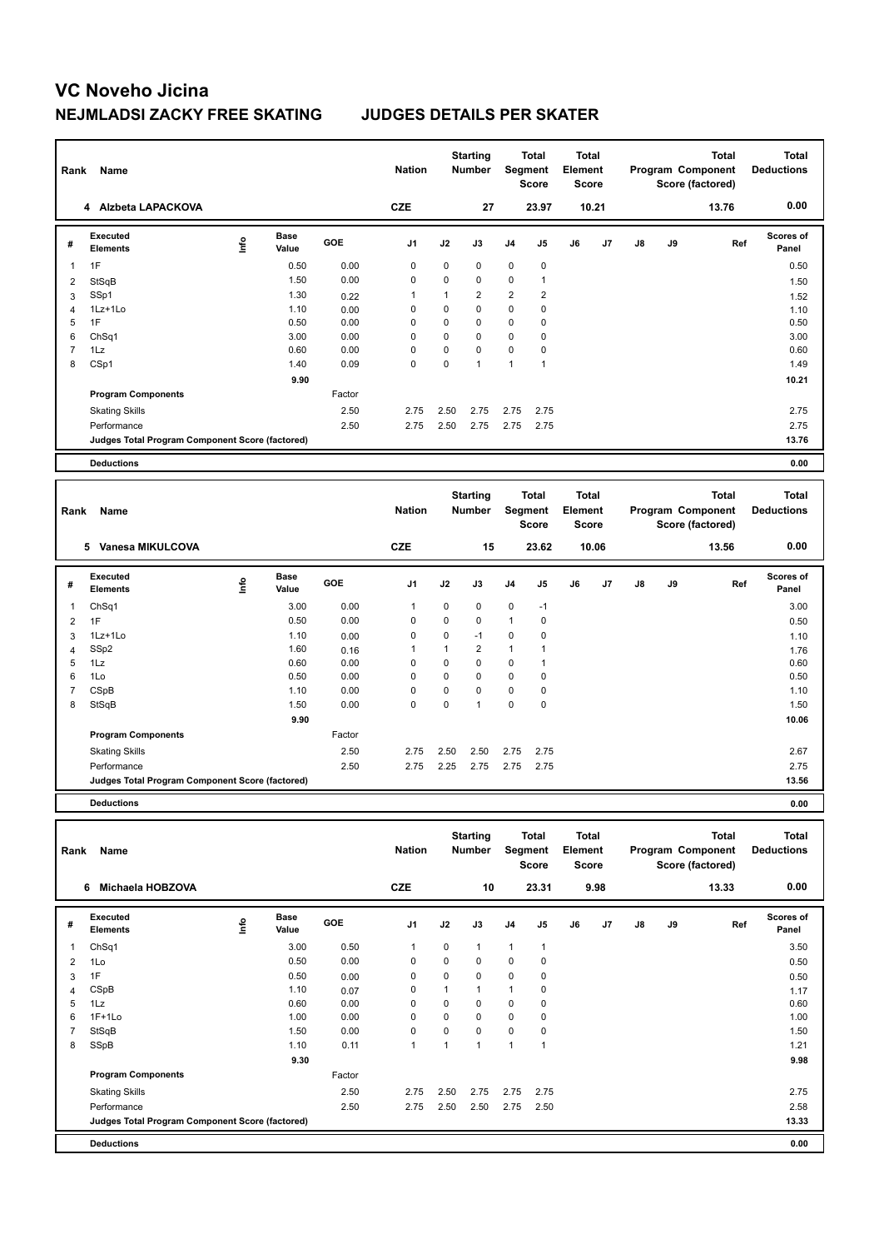| Rank           | Name                                            |      |                      |        | <b>Nation</b>  |             | <b>Starting</b><br><b>Number</b> |                | <b>Total</b><br>Segment<br><b>Score</b> | <b>Total</b><br>Element<br><b>Score</b> |       |    |    | <b>Total</b><br>Program Component<br>Score (factored) | <b>Total</b><br><b>Deductions</b> |
|----------------|-------------------------------------------------|------|----------------------|--------|----------------|-------------|----------------------------------|----------------|-----------------------------------------|-----------------------------------------|-------|----|----|-------------------------------------------------------|-----------------------------------|
|                | 4 Alzbeta LAPACKOVA                             |      |                      |        | <b>CZE</b>     |             | 27                               |                | 23.97                                   |                                         | 10.21 |    |    | 13.76                                                 | 0.00                              |
| #              | <b>Executed</b><br><b>Elements</b>              | lnfo | <b>Base</b><br>Value | GOE    | J <sub>1</sub> | J2          | J3                               | J <sub>4</sub> | J5                                      | J6                                      | J7    | J8 | J9 | Ref                                                   | <b>Scores of</b><br>Panel         |
| 1              | 1F                                              |      | 0.50                 | 0.00   | 0              | $\mathbf 0$ | $\Omega$                         | $\mathbf 0$    | $\pmb{0}$                               |                                         |       |    |    |                                                       | 0.50                              |
| 2              | StSqB                                           |      | 1.50                 | 0.00   | 0              | $\mathbf 0$ | $\mathbf 0$                      | $\mathbf 0$    | $\mathbf{1}$                            |                                         |       |    |    |                                                       | 1.50                              |
| 3              | SSp1                                            |      | 1.30                 | 0.22   | 1              | 1           | $\overline{2}$                   | 2              | $\overline{2}$                          |                                         |       |    |    |                                                       | 1.52                              |
| $\overline{4}$ | 1Lz+1Lo                                         |      | 1.10                 | 0.00   | 0              | 0           | 0                                | 0              | $\mathbf 0$                             |                                         |       |    |    |                                                       | 1.10                              |
| 5              | 1F                                              |      | 0.50                 | 0.00   | $\Omega$       | $\Omega$    | $\Omega$                         | 0              | $\mathbf 0$                             |                                         |       |    |    |                                                       | 0.50                              |
| 6              | ChSq1                                           |      | 3.00                 | 0.00   | $\Omega$       | $\Omega$    | $\Omega$                         | $\Omega$       | $\mathbf 0$                             |                                         |       |    |    |                                                       | 3.00                              |
| $\overline{7}$ | 1Lz                                             |      | 0.60                 | 0.00   | 0              | $\mathbf 0$ | 0                                | 0              | 0                                       |                                         |       |    |    |                                                       | 0.60                              |
| 8              | CSp1                                            |      | 1.40                 | 0.09   | $\mathbf 0$    | $\Omega$    | $\mathbf{1}$                     | 1              | $\mathbf{1}$                            |                                         |       |    |    |                                                       | 1.49                              |
|                |                                                 |      | 9.90                 |        |                |             |                                  |                |                                         |                                         |       |    |    |                                                       | 10.21                             |
|                | <b>Program Components</b>                       |      |                      | Factor |                |             |                                  |                |                                         |                                         |       |    |    |                                                       |                                   |
|                | <b>Skating Skills</b>                           |      |                      | 2.50   | 2.75           | 2.50        | 2.75                             | 2.75           | 2.75                                    |                                         |       |    |    |                                                       | 2.75                              |
|                | Performance                                     |      |                      | 2.50   | 2.75           | 2.50        | 2.75                             | 2.75           | 2.75                                    |                                         |       |    |    |                                                       | 2.75                              |
|                | Judges Total Program Component Score (factored) |      |                      |        |                |             |                                  |                |                                         |                                         |       |    |    |                                                       | 13.76                             |
|                | <b>Deductions</b>                               |      |                      |        |                |             |                                  |                |                                         |                                         |       |    |    |                                                       | 0.00                              |
|                |                                                 |      |                      |        |                |             |                                  |                |                                         |                                         |       |    |    |                                                       |                                   |
| Rank           | Name                                            |      |                      |        | <b>Nation</b>  |             | <b>Starting</b><br><b>Number</b> |                | <b>Total</b><br>Segment<br><b>Score</b> | Total<br>Element<br><b>Score</b>        |       |    |    | <b>Total</b><br>Program Component<br>Score (factored) | Total<br><b>Deductions</b>        |
|                | 5 Vanesa MIKULCOVA                              |      |                      |        | <b>CZE</b>     |             | 15                               |                | 23.62                                   |                                         | 10.06 |    |    | 13.56                                                 | 0.00                              |
|                | $\overline{\phantom{0}}$                        |      |                      |        |                |             |                                  |                |                                         |                                         |       |    |    |                                                       |                                   |

| Executed<br>Base<br>lnfo<br>GOE<br>J <sub>1</sub><br>J2<br>J3<br>J <sub>4</sub><br>J5<br>J6<br>J <sub>7</sub><br>J9<br>Ref<br>J8<br>#<br><b>Elements</b><br>Value<br>Panel<br>3.00<br>0.00<br>$\mathbf 0$<br>$\mathbf 0$<br>ChSq1<br>0<br>$-1$<br>1<br>0.50<br>0.00<br>0<br>0<br>$\mathbf 0$<br>$\mathbf 0$<br>1<br>1F<br>$\overline{2}$<br>0<br>0<br>0<br>0<br>$1Lz+1Lo$<br>1.10<br>$-1$<br>0.00<br>3<br>$\overline{2}$<br>SSp2<br>1.60<br>$\overline{A}$<br>1<br>0.16<br>$\overline{4}$<br>$\mathbf 0$<br>0<br>1Lz<br>0.60<br>0.00<br>0<br>0<br>5<br>1<br>$\mathbf 0$<br>1Lo<br>0.50<br>0.00<br>0<br>0<br>$\mathbf 0$<br>6<br>0<br>$\mathbf 0$<br>$\mathbf 0$<br>0.00<br>0<br>0<br>CSpB<br>1.10<br>0<br>$\mathbf 0$<br>$\mathbf 0$<br>0.00<br>0<br>$\mathbf 0$<br>StSqB<br>1.50<br>$\overline{1}$<br>8<br>9.90<br><b>Program Components</b><br>Factor<br><b>Skating Skills</b><br>2.50<br>2.75<br>2.50<br>2.50<br>2.75<br>2.75 |             |  |      |      |      |      |      |      |  |  |                  |
|----------------------------------------------------------------------------------------------------------------------------------------------------------------------------------------------------------------------------------------------------------------------------------------------------------------------------------------------------------------------------------------------------------------------------------------------------------------------------------------------------------------------------------------------------------------------------------------------------------------------------------------------------------------------------------------------------------------------------------------------------------------------------------------------------------------------------------------------------------------------------------------------------------------------------------|-------------|--|------|------|------|------|------|------|--|--|------------------|
|                                                                                                                                                                                                                                                                                                                                                                                                                                                                                                                                                                                                                                                                                                                                                                                                                                                                                                                                  |             |  |      |      |      |      |      |      |  |  | <b>Scores of</b> |
|                                                                                                                                                                                                                                                                                                                                                                                                                                                                                                                                                                                                                                                                                                                                                                                                                                                                                                                                  |             |  |      |      |      |      |      |      |  |  | 3.00             |
|                                                                                                                                                                                                                                                                                                                                                                                                                                                                                                                                                                                                                                                                                                                                                                                                                                                                                                                                  |             |  |      |      |      |      |      |      |  |  | 0.50             |
|                                                                                                                                                                                                                                                                                                                                                                                                                                                                                                                                                                                                                                                                                                                                                                                                                                                                                                                                  |             |  |      |      |      |      |      |      |  |  | 1.10             |
|                                                                                                                                                                                                                                                                                                                                                                                                                                                                                                                                                                                                                                                                                                                                                                                                                                                                                                                                  |             |  |      |      |      |      |      |      |  |  | 1.76             |
|                                                                                                                                                                                                                                                                                                                                                                                                                                                                                                                                                                                                                                                                                                                                                                                                                                                                                                                                  |             |  |      |      |      |      |      |      |  |  | 0.60             |
|                                                                                                                                                                                                                                                                                                                                                                                                                                                                                                                                                                                                                                                                                                                                                                                                                                                                                                                                  |             |  |      |      |      |      |      |      |  |  | 0.50             |
|                                                                                                                                                                                                                                                                                                                                                                                                                                                                                                                                                                                                                                                                                                                                                                                                                                                                                                                                  |             |  |      |      |      |      |      |      |  |  | 1.10             |
|                                                                                                                                                                                                                                                                                                                                                                                                                                                                                                                                                                                                                                                                                                                                                                                                                                                                                                                                  |             |  |      |      |      |      |      |      |  |  | 1.50             |
|                                                                                                                                                                                                                                                                                                                                                                                                                                                                                                                                                                                                                                                                                                                                                                                                                                                                                                                                  |             |  |      |      |      |      |      |      |  |  | 10.06            |
|                                                                                                                                                                                                                                                                                                                                                                                                                                                                                                                                                                                                                                                                                                                                                                                                                                                                                                                                  |             |  |      |      |      |      |      |      |  |  |                  |
|                                                                                                                                                                                                                                                                                                                                                                                                                                                                                                                                                                                                                                                                                                                                                                                                                                                                                                                                  |             |  |      |      |      |      |      |      |  |  | 2.67             |
|                                                                                                                                                                                                                                                                                                                                                                                                                                                                                                                                                                                                                                                                                                                                                                                                                                                                                                                                  | Performance |  | 2.50 | 2.75 | 2.25 | 2.75 | 2.75 | 2.75 |  |  | 2.75             |
| Judges Total Program Component Score (factored)                                                                                                                                                                                                                                                                                                                                                                                                                                                                                                                                                                                                                                                                                                                                                                                                                                                                                  |             |  |      |      |      |      |      |      |  |  | 13.56            |

**Deductions 0.00**

| Rank | Name                                            |             |                      |        | <b>Nation</b>  |             | <b>Starting</b><br>Number | Segment        | <b>Total</b><br><b>Score</b> | <b>Total</b><br><b>Element</b><br>Score |                |               |    | Total<br>Program Component<br>Score (factored) | <b>Total</b><br><b>Deductions</b> |
|------|-------------------------------------------------|-------------|----------------------|--------|----------------|-------------|---------------------------|----------------|------------------------------|-----------------------------------------|----------------|---------------|----|------------------------------------------------|-----------------------------------|
|      | Michaela HOBZOVA<br>6                           |             |                      |        | <b>CZE</b>     |             | 10                        |                | 23.31                        |                                         | 9.98           |               |    | 13.33                                          | 0.00                              |
| #    | <b>Executed</b><br><b>Elements</b>              | <u>info</u> | <b>Base</b><br>Value | GOE    | J <sub>1</sub> | J2          | J3                        | J <sub>4</sub> | J <sub>5</sub>               | J6                                      | J <sub>7</sub> | $\mathsf{J}8$ | J9 | Ref                                            | Scores of<br>Panel                |
| 1    | ChSq1                                           |             | 3.00                 | 0.50   | $\mathbf 1$    | 0           | 1                         | 1              | $\mathbf{1}$                 |                                         |                |               |    |                                                | 3.50                              |
| 2    | 1Lo                                             |             | 0.50                 | 0.00   | $\mathbf 0$    | $\mathbf 0$ | 0                         | $\mathbf 0$    | $\pmb{0}$                    |                                         |                |               |    |                                                | 0.50                              |
| 3    | 1F                                              |             | 0.50                 | 0.00   | 0              | 0           | 0                         | 0              | 0                            |                                         |                |               |    |                                                | 0.50                              |
| 4    | CSpB                                            |             | 1.10                 | 0.07   | 0              | 1           | 1                         | 1              | 0                            |                                         |                |               |    |                                                | 1.17                              |
| 5    | 1Lz                                             |             | 0.60                 | 0.00   | 0              | 0           | 0                         | 0              | 0                            |                                         |                |               |    |                                                | 0.60                              |
| 6    | $1F+1Lo$                                        |             | 1.00                 | 0.00   | 0              | 0           | 0                         | 0              | 0                            |                                         |                |               |    |                                                | 1.00                              |
| 7    | StSqB                                           |             | 1.50                 | 0.00   | $\mathbf 0$    | $\Omega$    | $\Omega$                  | $\mathbf 0$    | 0                            |                                         |                |               |    |                                                | 1.50                              |
| 8    | SSpB                                            |             | 1.10                 | 0.11   | $\mathbf{1}$   | 1           | $\mathbf{1}$              | 1              | 1                            |                                         |                |               |    |                                                | 1.21                              |
|      |                                                 |             | 9.30                 |        |                |             |                           |                |                              |                                         |                |               |    |                                                | 9.98                              |
|      | <b>Program Components</b>                       |             |                      | Factor |                |             |                           |                |                              |                                         |                |               |    |                                                |                                   |
|      | <b>Skating Skills</b>                           |             |                      | 2.50   | 2.75           | 2.50        | 2.75                      | 2.75           | 2.75                         |                                         |                |               |    |                                                | 2.75                              |
|      | Performance                                     |             |                      | 2.50   | 2.75           | 2.50        | 2.50                      | 2.75           | 2.50                         |                                         |                |               |    |                                                | 2.58                              |
|      | Judges Total Program Component Score (factored) |             |                      |        |                |             |                           |                |                              |                                         |                |               |    |                                                | 13.33                             |
|      | <b>Deductions</b>                               |             |                      |        |                |             |                           |                |                              |                                         |                |               |    |                                                | 0.00                              |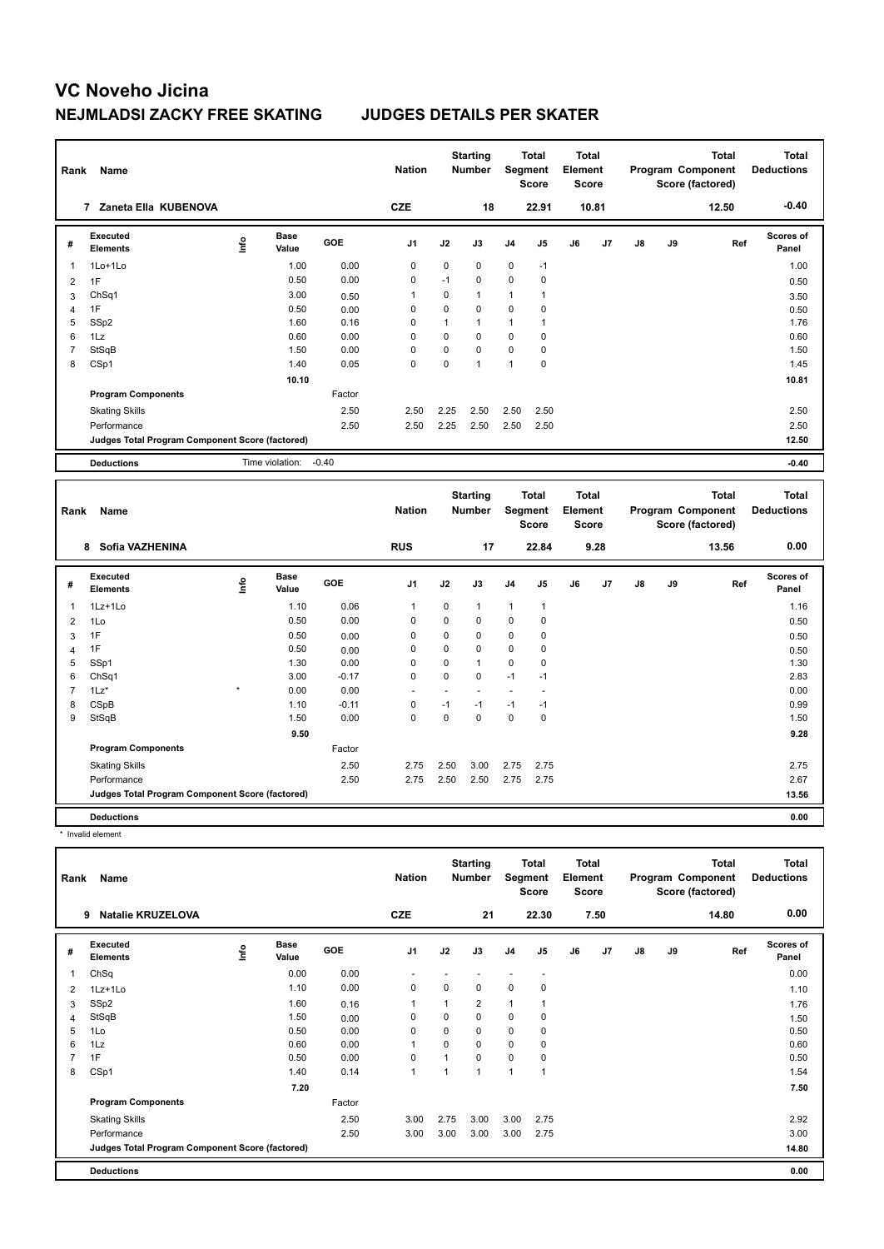| Rank           | Name                                            |      |                       |        | <b>Nation</b>  |             | <b>Starting</b><br><b>Number</b> |                | <b>Total</b><br><b>Segment</b><br><b>Score</b> | <b>Total</b><br>Element<br><b>Score</b> |       |    |    | <b>Total</b><br>Program Component<br>Score (factored) | <b>Total</b><br><b>Deductions</b> |
|----------------|-------------------------------------------------|------|-----------------------|--------|----------------|-------------|----------------------------------|----------------|------------------------------------------------|-----------------------------------------|-------|----|----|-------------------------------------------------------|-----------------------------------|
|                | 7 Zaneta Ella KUBENOVA                          |      |                       |        | <b>CZE</b>     |             | 18                               |                | 22.91                                          |                                         | 10.81 |    |    | 12.50                                                 | $-0.40$                           |
| #              | Executed<br><b>Elements</b>                     | lnfo | <b>Base</b><br>Value  | GOE    | J1             | J2          | J3                               | J <sub>4</sub> | J5                                             | J6                                      | J7    | J8 | J9 | Ref                                                   | Scores of<br>Panel                |
| 1              | 1Lo+1Lo                                         |      | 1.00                  | 0.00   | 0              | $\mathbf 0$ | 0                                | 0              | $-1$                                           |                                         |       |    |    |                                                       | 1.00                              |
| 2              | 1F                                              |      | 0.50                  | 0.00   | 0              | $-1$        | 0                                | $\mathbf 0$    | 0                                              |                                         |       |    |    |                                                       | 0.50                              |
| 3              | ChSq1                                           |      | 3.00                  | 0.50   | 1              | 0           | $\mathbf{1}$                     | $\mathbf{1}$   | 1                                              |                                         |       |    |    |                                                       | 3.50                              |
| 4              | 1F                                              |      | 0.50                  | 0.00   | $\mathbf 0$    | 0           | $\mathbf 0$                      | $\mathbf 0$    | 0                                              |                                         |       |    |    |                                                       | 0.50                              |
| 5              | SSp2                                            |      | 1.60                  | 0.16   | 0              | 1           | $\mathbf{1}$                     | $\mathbf{1}$   | $\mathbf{1}$                                   |                                         |       |    |    |                                                       | 1.76                              |
| 6              | 1Lz                                             |      | 0.60                  | 0.00   | $\mathbf 0$    | $\mathbf 0$ | $\Omega$                         | $\Omega$       | 0                                              |                                         |       |    |    |                                                       | 0.60                              |
| $\overline{7}$ | StSqB                                           |      | 1.50                  | 0.00   | $\mathbf 0$    | 0           | $\mathbf 0$                      | $\mathbf 0$    | 0                                              |                                         |       |    |    |                                                       | 1.50                              |
| 8              | CSp1                                            |      | 1.40                  | 0.05   | $\mathbf 0$    | $\mathbf 0$ | $\mathbf{1}$                     | $\mathbf{1}$   | 0                                              |                                         |       |    |    |                                                       | 1.45                              |
|                |                                                 |      | 10.10                 |        |                |             |                                  |                |                                                |                                         |       |    |    |                                                       | 10.81                             |
|                | <b>Program Components</b>                       |      |                       | Factor |                |             |                                  |                |                                                |                                         |       |    |    |                                                       |                                   |
|                | <b>Skating Skills</b>                           |      |                       | 2.50   | 2.50           | 2.25        | 2.50                             | 2.50           | 2.50                                           |                                         |       |    |    |                                                       | 2.50                              |
|                | Performance                                     |      |                       | 2.50   | 2.50           | 2.25        | 2.50                             | 2.50           | 2.50                                           |                                         |       |    |    |                                                       | 2.50                              |
|                | Judges Total Program Component Score (factored) |      |                       |        |                |             |                                  |                |                                                |                                         |       |    |    |                                                       | 12.50                             |
|                | <b>Deductions</b>                               |      | Time violation: -0.40 |        |                |             |                                  |                |                                                |                                         |       |    |    |                                                       | $-0.40$                           |
|                |                                                 |      |                       |        |                |             |                                  |                |                                                |                                         |       |    |    |                                                       |                                   |
| Rank           | Name                                            |      |                       |        | <b>Nation</b>  |             | <b>Starting</b><br><b>Number</b> |                | <b>Total</b><br>Segment<br><b>Score</b>        | <b>Total</b><br>Element<br><b>Score</b> |       |    |    | <b>Total</b><br>Program Component<br>Score (factored) | <b>Total</b><br><b>Deductions</b> |
|                | Sofia VAZHENINA<br>8                            |      |                       |        | <b>RUS</b>     |             | 17                               |                | 22.84                                          |                                         | 9.28  |    |    | 13.56                                                 | 0.00                              |
| #              | <b>Executed</b><br><b>Elements</b>              | lnfo | <b>Base</b><br>Value  | GOE    | J <sub>1</sub> | J2          | J3                               | J <sub>4</sub> | J <sub>5</sub>                                 | J6                                      | J7    | J8 | J9 | Ref                                                   | <b>Scores of</b><br>Panel         |
| 1              | 1Lz+1Lo                                         |      | 1.10                  | 0.06   | $\overline{1}$ | 0           | $\mathbf{1}$                     | $\mathbf{1}$   | $\mathbf{1}$                                   |                                         |       |    |    |                                                       | 1.16                              |
| $\overline{2}$ | 1Lo                                             |      | 0.50                  | 0.00   | $\mathbf 0$    | 0           | $\Omega$                         | $\mathbf 0$    | $\mathbf 0$                                    |                                         |       |    |    |                                                       | 0.50                              |

| #              | <b>Executed</b><br>Elements                     | $\mathsf{f}^\mathsf{o}$ | <b>Base</b><br>Value | <b>GOE</b> | J <sub>1</sub>           | J2          | J3          | J <sub>4</sub> | J5          | J6 | J <sub>7</sub> | $\mathsf{J}8$ | J9 | Ref | <b>Scores of</b><br>Panel |
|----------------|-------------------------------------------------|-------------------------|----------------------|------------|--------------------------|-------------|-------------|----------------|-------------|----|----------------|---------------|----|-----|---------------------------|
| $\mathbf{1}$   | $1Lz+1Lo$                                       |                         | 1.10                 | 0.06       | 1                        | 0           | -1          |                |             |    |                |               |    |     | 1.16                      |
| $\overline{2}$ | 1Lo                                             |                         | 0.50                 | 0.00       | 0                        | $\mathbf 0$ | $\mathbf 0$ | 0              | $\mathbf 0$ |    |                |               |    |     | 0.50                      |
| 3              | 1F                                              |                         | 0.50                 | 0.00       | 0                        | 0           | 0           | 0              | 0           |    |                |               |    |     | 0.50                      |
| 4              | 1F                                              |                         | 0.50                 | 0.00       | 0                        | 0           | 0           | 0              | 0           |    |                |               |    |     | 0.50                      |
| 5              | SSp1                                            |                         | 1.30                 | 0.00       | 0                        | 0           | -1          | 0              | 0           |    |                |               |    |     | 1.30                      |
| 6              | ChSq1                                           |                         | 3.00                 | $-0.17$    | $\mathbf 0$              | 0           | $\mathbf 0$ | $-1$           | $-1$        |    |                |               |    |     | 2.83                      |
| $\overline{7}$ | $1\text{Lz}^*$                                  | $\star$                 | 0.00                 | 0.00       | $\overline{\phantom{0}}$ |             |             |                |             |    |                |               |    |     | 0.00                      |
| 8              | CSpB                                            |                         | 1.10                 | $-0.11$    | 0                        | $-1$        | $-1$        | $-1$           | $-1$        |    |                |               |    |     | 0.99                      |
| 9              | StSqB                                           |                         | 1.50                 | 0.00       | 0                        | 0           | 0           | 0              | 0           |    |                |               |    |     | 1.50                      |
|                |                                                 |                         | 9.50                 |            |                          |             |             |                |             |    |                |               |    |     | 9.28                      |
|                | <b>Program Components</b>                       |                         |                      | Factor     |                          |             |             |                |             |    |                |               |    |     |                           |
|                | <b>Skating Skills</b>                           |                         |                      | 2.50       | 2.75                     | 2.50        | 3.00        | 2.75           | 2.75        |    |                |               |    |     | 2.75                      |
|                | Performance                                     |                         |                      | 2.50       | 2.75                     | 2.50        | 2.50        | 2.75           | 2.75        |    |                |               |    |     | 2.67                      |
|                | Judges Total Program Component Score (factored) |                         |                      |            |                          |             |             |                |             |    |                |               |    |     | 13.56                     |
|                | <b>Deductions</b>                               |                         |                      |            |                          |             |             |                |             |    |                |               |    |     | 0.00                      |

\* Invalid element

| Rank | Name                                            |             |                      |        | <b>Nation</b>            |          | <b>Starting</b><br><b>Number</b> | Segment        | <b>Total</b><br><b>Score</b> | <b>Total</b><br>Element<br><b>Score</b> |      |               |    | <b>Total</b><br>Program Component<br>Score (factored) | <b>Total</b><br><b>Deductions</b> |
|------|-------------------------------------------------|-------------|----------------------|--------|--------------------------|----------|----------------------------------|----------------|------------------------------|-----------------------------------------|------|---------------|----|-------------------------------------------------------|-----------------------------------|
|      | <b>Natalie KRUZELOVA</b><br>9                   |             |                      |        | <b>CZE</b>               |          | 21                               |                | 22.30                        |                                         | 7.50 |               |    | 14.80                                                 | 0.00                              |
| #    | Executed<br><b>Elements</b>                     | <u>info</u> | <b>Base</b><br>Value | GOE    | J <sub>1</sub>           | J2       | J3                               | J <sub>4</sub> | J5                           | J6                                      | J7   | $\mathsf{J}8$ | J9 | Ref                                                   | <b>Scores of</b><br>Panel         |
| 1    | ChSq                                            |             | 0.00                 | 0.00   | $\overline{\phantom{a}}$ |          |                                  |                | $\overline{\phantom{a}}$     |                                         |      |               |    |                                                       | 0.00                              |
| 2    | 1Lz+1Lo                                         |             | 1.10                 | 0.00   | 0                        | 0        | 0                                | $\mathbf 0$    | 0                            |                                         |      |               |    |                                                       | 1.10                              |
| 3    | SSp2                                            |             | 1.60                 | 0.16   | $\mathbf{1}$             |          | 2                                | $\mathbf{1}$   | 1                            |                                         |      |               |    |                                                       | 1.76                              |
| 4    | StSqB                                           |             | 1.50                 | 0.00   | 0                        | $\Omega$ | $\Omega$                         | $\mathbf 0$    | 0                            |                                         |      |               |    |                                                       | 1.50                              |
| 5    | 1Lo                                             |             | 0.50                 | 0.00   | $\mathbf 0$              | $\Omega$ | 0                                | $\mathbf 0$    | $\mathbf 0$                  |                                         |      |               |    |                                                       | 0.50                              |
| 6    | 1Lz                                             |             | 0.60                 | 0.00   | $\mathbf{1}$             | $\Omega$ | 0                                | $\mathbf 0$    | 0                            |                                         |      |               |    |                                                       | 0.60                              |
|      | 1F                                              |             | 0.50                 | 0.00   | 0                        |          | 0                                | $\mathbf 0$    | 0                            |                                         |      |               |    |                                                       | 0.50                              |
| 8    | CSp1                                            |             | 1.40                 | 0.14   | $\mathbf{1}$             |          | 1                                | $\overline{1}$ | $\mathbf{1}$                 |                                         |      |               |    |                                                       | 1.54                              |
|      |                                                 |             | 7.20                 |        |                          |          |                                  |                |                              |                                         |      |               |    |                                                       | 7.50                              |
|      | <b>Program Components</b>                       |             |                      | Factor |                          |          |                                  |                |                              |                                         |      |               |    |                                                       |                                   |
|      | <b>Skating Skills</b>                           |             |                      | 2.50   | 3.00                     | 2.75     | 3.00                             | 3.00           | 2.75                         |                                         |      |               |    |                                                       | 2.92                              |
|      | Performance                                     |             |                      | 2.50   | 3.00                     | 3.00     | 3.00                             | 3.00           | 2.75                         |                                         |      |               |    |                                                       | 3.00                              |
|      | Judges Total Program Component Score (factored) |             |                      |        |                          |          |                                  |                |                              |                                         |      |               |    |                                                       | 14.80                             |
|      | <b>Deductions</b>                               |             |                      |        |                          |          |                                  |                |                              |                                         |      |               |    |                                                       | 0.00                              |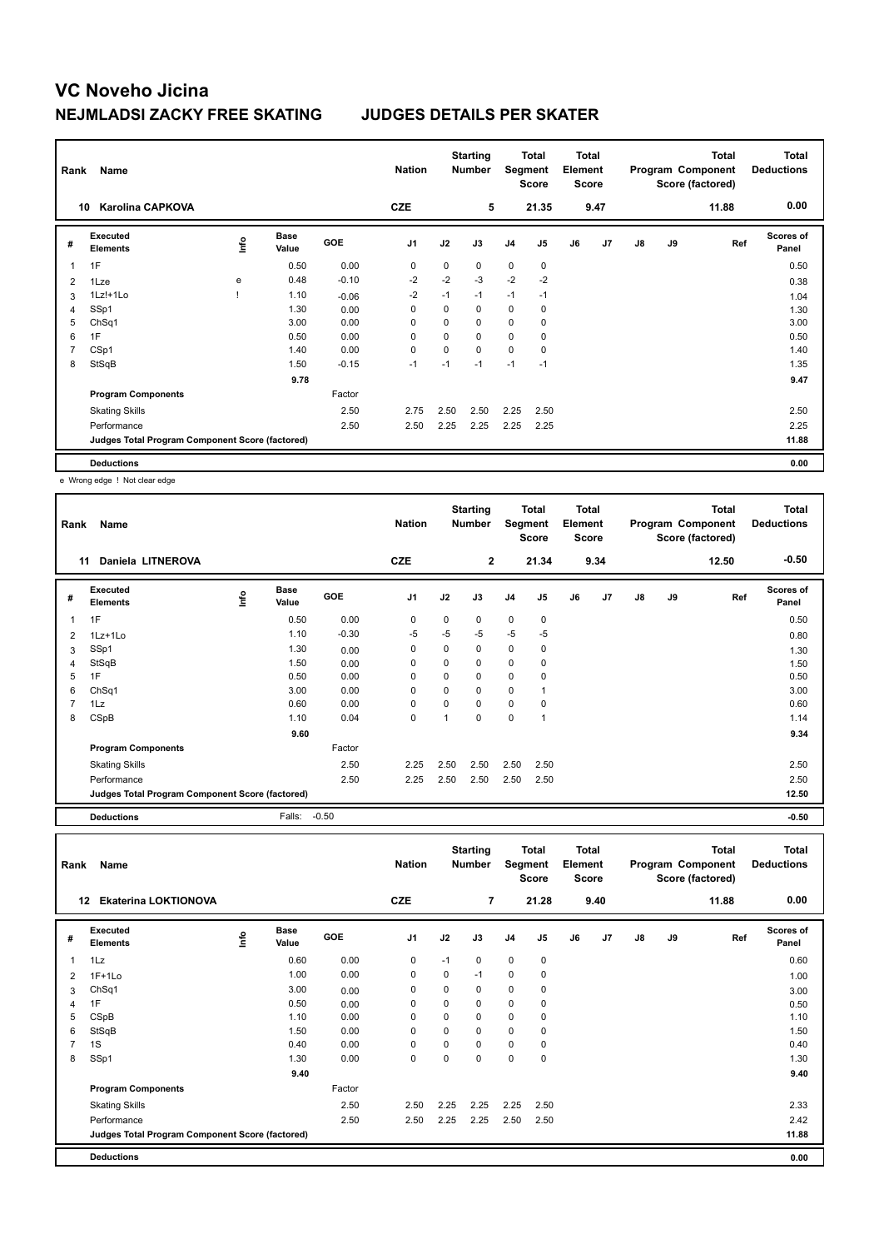| Rank | Name                                            |                                  |                      |            | <b>Nation</b> |             | <b>Starting</b><br><b>Number</b> | Segment        | Total<br><b>Score</b> | <b>Total</b><br>Element<br><b>Score</b> |                |               |    | <b>Total</b><br>Program Component<br>Score (factored) | Total<br><b>Deductions</b> |
|------|-------------------------------------------------|----------------------------------|----------------------|------------|---------------|-------------|----------------------------------|----------------|-----------------------|-----------------------------------------|----------------|---------------|----|-------------------------------------------------------|----------------------------|
|      | <b>Karolina CAPKOVA</b><br>10                   |                                  |                      |            | <b>CZE</b>    |             | 5                                |                | 21.35                 |                                         | 9.47           |               |    | 11.88                                                 | 0.00                       |
| #    | Executed<br><b>Elements</b>                     | $\mathop{\mathsf{Irr}}\nolimits$ | <b>Base</b><br>Value | <b>GOE</b> | J1            | J2          | J3                               | J <sub>4</sub> | J5                    | J6                                      | J <sub>7</sub> | $\mathsf{J}8$ | J9 | Ref                                                   | Scores of<br>Panel         |
| 1    | 1F                                              |                                  | 0.50                 | 0.00       | 0             | 0           | 0                                | $\mathbf 0$    | 0                     |                                         |                |               |    |                                                       | 0.50                       |
| 2    | 1Lze                                            | e                                | 0.48                 | $-0.10$    | $-2$          | $-2$        | $-3$                             | $-2$           | $-2$                  |                                         |                |               |    |                                                       | 0.38                       |
| 3    | $1Lz! + 1Lo$                                    |                                  | 1.10                 | $-0.06$    | $-2$          | $-1$        | $-1$                             | $-1$           | $-1$                  |                                         |                |               |    |                                                       | 1.04                       |
| 4    | SSp1                                            |                                  | 1.30                 | 0.00       | 0             | $\mathbf 0$ | 0                                | $\mathbf 0$    | 0                     |                                         |                |               |    |                                                       | 1.30                       |
| 5    | ChSq1                                           |                                  | 3.00                 | 0.00       | 0             | $\mathbf 0$ | 0                                | $\mathbf 0$    | 0                     |                                         |                |               |    |                                                       | 3.00                       |
| 6    | 1F                                              |                                  | 0.50                 | 0.00       | 0             | $\mathbf 0$ | 0                                | $\mathbf 0$    | 0                     |                                         |                |               |    |                                                       | 0.50                       |
| 7    | CSp1                                            |                                  | 1.40                 | 0.00       | 0             | $\mathbf 0$ | 0                                | $\mathbf 0$    | 0                     |                                         |                |               |    |                                                       | 1.40                       |
| 8    | StSqB                                           |                                  | 1.50                 | $-0.15$    | $-1$          | $-1$        | $-1$                             | $-1$           | $-1$                  |                                         |                |               |    |                                                       | 1.35                       |
|      |                                                 |                                  | 9.78                 |            |               |             |                                  |                |                       |                                         |                |               |    |                                                       | 9.47                       |
|      | <b>Program Components</b>                       |                                  |                      | Factor     |               |             |                                  |                |                       |                                         |                |               |    |                                                       |                            |
|      | <b>Skating Skills</b>                           |                                  |                      | 2.50       | 2.75          | 2.50        | 2.50                             | 2.25           | 2.50                  |                                         |                |               |    |                                                       | 2.50                       |
|      | Performance                                     |                                  |                      | 2.50       | 2.50          | 2.25        | 2.25                             | 2.25           | 2.25                  |                                         |                |               |    |                                                       | 2.25                       |
|      | Judges Total Program Component Score (factored) |                                  |                      |            |               |             |                                  |                |                       |                                         |                |               |    |                                                       | 11.88                      |
|      | <b>Deductions</b>                               |                                  |                      |            |               |             |                                  |                |                       |                                         |                |               |    |                                                       | 0.00                       |

e Wrong edge ! Not clear edge

| Rank | Name                                            |             |                      |            | <b>Nation</b>  |          | <b>Starting</b><br><b>Number</b> |                | Total<br>Segment<br><b>Score</b> | <b>Total</b><br>Element<br><b>Score</b> |                |    |    | <b>Total</b><br>Program Component<br>Score (factored) | <b>Total</b><br><b>Deductions</b> |
|------|-------------------------------------------------|-------------|----------------------|------------|----------------|----------|----------------------------------|----------------|----------------------------------|-----------------------------------------|----------------|----|----|-------------------------------------------------------|-----------------------------------|
|      | Daniela LITNEROVA<br>11                         |             |                      |            | <b>CZE</b>     |          | $\mathbf{2}$                     |                | 21.34                            |                                         | 9.34           |    |    | 12.50                                                 | $-0.50$                           |
| #    | <b>Executed</b><br><b>Elements</b>              | <u>info</u> | <b>Base</b><br>Value | <b>GOE</b> | J <sub>1</sub> | J2       | J3                               | J <sub>4</sub> | J <sub>5</sub>                   | J6                                      | J <sub>7</sub> | J8 | J9 | Ref                                                   | <b>Scores of</b><br>Panel         |
| 1    | 1F                                              |             | 0.50                 | 0.00       | 0              | 0        | 0                                | $\mathbf 0$    | 0                                |                                         |                |    |    |                                                       | 0.50                              |
| 2    | 1Lz+1Lo                                         |             | 1.10                 | $-0.30$    | -5             | $-5$     | $-5$                             | $-5$           | $-5$                             |                                         |                |    |    |                                                       | 0.80                              |
| 3    | SSp1                                            |             | 1.30                 | 0.00       | 0              | $\Omega$ | 0                                | $\mathbf 0$    | 0                                |                                         |                |    |    |                                                       | 1.30                              |
| 4    | StSqB                                           |             | 1.50                 | 0.00       | 0              | 0        | 0                                | 0              | 0                                |                                         |                |    |    |                                                       | 1.50                              |
| 5    | 1F                                              |             | 0.50                 | 0.00       | 0              | $\Omega$ | 0                                | 0              | 0                                |                                         |                |    |    |                                                       | 0.50                              |
| 6    | ChSq1                                           |             | 3.00                 | 0.00       | 0              | 0        | 0                                | 0              |                                  |                                         |                |    |    |                                                       | 3.00                              |
| 7    | 1Lz                                             |             | 0.60                 | 0.00       | $\pmb{0}$      | 0        | 0                                | $\mathbf 0$    | 0                                |                                         |                |    |    |                                                       | 0.60                              |
| 8    | CSpB                                            |             | 1.10                 | 0.04       | $\mathbf 0$    |          | $\Omega$                         | $\mathbf 0$    |                                  |                                         |                |    |    |                                                       | 1.14                              |
|      |                                                 |             | 9.60                 |            |                |          |                                  |                |                                  |                                         |                |    |    |                                                       | 9.34                              |
|      | <b>Program Components</b>                       |             |                      | Factor     |                |          |                                  |                |                                  |                                         |                |    |    |                                                       |                                   |
|      | <b>Skating Skills</b>                           |             |                      | 2.50       | 2.25           | 2.50     | 2.50                             | 2.50           | 2.50                             |                                         |                |    |    |                                                       | 2.50                              |
|      | Performance                                     |             |                      | 2.50       | 2.25           | 2.50     | 2.50                             | 2.50           | 2.50                             |                                         |                |    |    |                                                       | 2.50                              |
|      | Judges Total Program Component Score (factored) |             |                      |            |                |          |                                  |                |                                  |                                         |                |    |    |                                                       | 12.50                             |
|      | <b>Deductions</b>                               |             | Falls:               | $-0.50$    |                |          |                                  |                |                                  |                                         |                |    |    |                                                       | $-0.50$                           |

| Rank           | Name                                            |      |                      |            | <b>Nation</b>  |      | <b>Starting</b><br><b>Number</b> | Segment        | Total<br><b>Score</b> | <b>Total</b><br>Element<br><b>Score</b> |      |               |    | <b>Total</b><br>Program Component<br>Score (factored) | <b>Total</b><br><b>Deductions</b> |
|----------------|-------------------------------------------------|------|----------------------|------------|----------------|------|----------------------------------|----------------|-----------------------|-----------------------------------------|------|---------------|----|-------------------------------------------------------|-----------------------------------|
|                | <b>Ekaterina LOKTIONOVA</b><br>$12 \,$          |      |                      |            | <b>CZE</b>     |      | $\overline{7}$                   |                | 21.28                 |                                         | 9.40 |               |    | 11.88                                                 | 0.00                              |
| #              | Executed<br><b>Elements</b>                     | ١nfo | <b>Base</b><br>Value | <b>GOE</b> | J <sub>1</sub> | J2   | J3                               | J <sub>4</sub> | J5                    | J6                                      | J7   | $\mathsf{J}8$ | J9 | Ref                                                   | Scores of<br>Panel                |
| 1              | 1Lz                                             |      | 0.60                 | 0.00       | 0              | $-1$ | 0                                | $\mathbf 0$    | 0                     |                                         |      |               |    |                                                       | 0.60                              |
| 2              | $1F+1Lo$                                        |      | 1.00                 | 0.00       | 0              | 0    | $-1$                             | $\mathbf 0$    | 0                     |                                         |      |               |    |                                                       | 1.00                              |
| 3              | ChSq1                                           |      | 3.00                 | 0.00       | 0              | 0    | 0                                | $\mathbf 0$    | 0                     |                                         |      |               |    |                                                       | 3.00                              |
| $\overline{4}$ | 1F                                              |      | 0.50                 | 0.00       | 0              | 0    | $\mathbf 0$                      | $\mathbf 0$    | 0                     |                                         |      |               |    |                                                       | 0.50                              |
| 5              | CSpB                                            |      | 1.10                 | 0.00       | 0              | 0    | $\mathbf 0$                      | $\mathbf 0$    | 0                     |                                         |      |               |    |                                                       | 1.10                              |
| 6              | StSqB                                           |      | 1.50                 | 0.00       | 0              | 0    | $\mathbf 0$                      | $\mathbf 0$    | 0                     |                                         |      |               |    |                                                       | 1.50                              |
| $\overline{7}$ | 1S                                              |      | 0.40                 | 0.00       | $\Omega$       | 0    | $\mathbf 0$                      | $\mathbf 0$    | 0                     |                                         |      |               |    |                                                       | 0.40                              |
| 8              | SSp1                                            |      | 1.30                 | 0.00       | 0              | 0    | $\mathbf 0$                      | $\mathbf 0$    | $\mathbf 0$           |                                         |      |               |    |                                                       | 1.30                              |
|                |                                                 |      | 9.40                 |            |                |      |                                  |                |                       |                                         |      |               |    |                                                       | 9.40                              |
|                | <b>Program Components</b>                       |      |                      | Factor     |                |      |                                  |                |                       |                                         |      |               |    |                                                       |                                   |
|                | <b>Skating Skills</b>                           |      |                      | 2.50       | 2.50           | 2.25 | 2.25                             | 2.25           | 2.50                  |                                         |      |               |    |                                                       | 2.33                              |
|                | Performance                                     |      |                      | 2.50       | 2.50           | 2.25 | 2.25                             | 2.50           | 2.50                  |                                         |      |               |    |                                                       | 2.42                              |
|                | Judges Total Program Component Score (factored) |      |                      |            |                |      |                                  |                |                       |                                         |      |               |    |                                                       | 11.88                             |
|                | <b>Deductions</b>                               |      |                      |            |                |      |                                  |                |                       |                                         |      |               |    |                                                       | 0.00                              |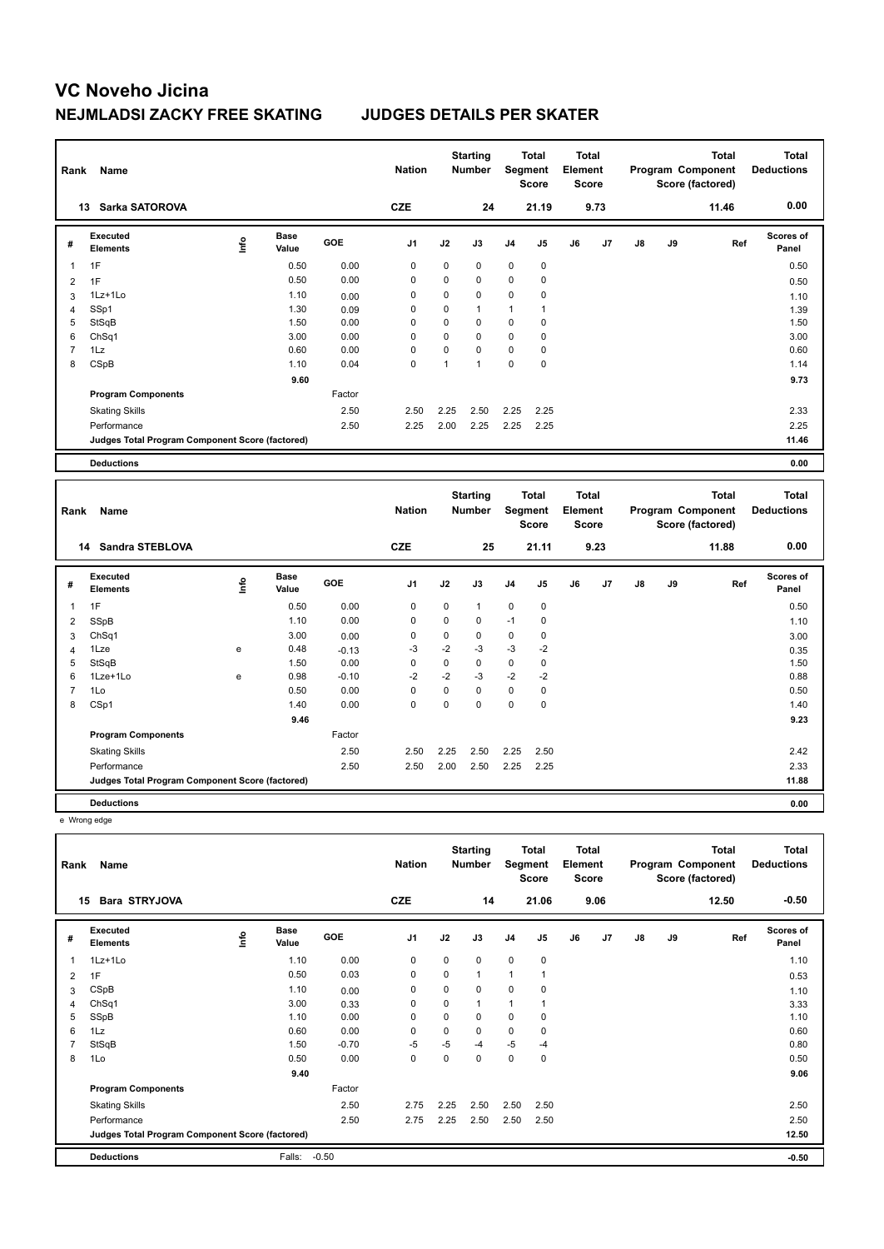| Rank           | Name                                            |       |                      |        | <b>Nation</b> |             | <b>Starting</b><br><b>Number</b> |                | <b>Total</b><br><b>Segment</b><br><b>Score</b> | <b>Total</b><br>Element<br>Score        |      |    |    | <b>Total</b><br>Program Component<br>Score (factored) | <b>Total</b><br><b>Deductions</b> |
|----------------|-------------------------------------------------|-------|----------------------|--------|---------------|-------------|----------------------------------|----------------|------------------------------------------------|-----------------------------------------|------|----|----|-------------------------------------------------------|-----------------------------------|
|                | Sarka SATOROVA<br>13                            |       |                      |        | <b>CZE</b>    |             | 24                               |                | 21.19                                          |                                         | 9.73 |    |    | 11.46                                                 | 0.00                              |
| #              | Executed<br><b>Elements</b>                     | Life  | <b>Base</b><br>Value | GOE    | J1            | J2          | J3                               | J <sub>4</sub> | J5                                             | J6                                      | J7   | J8 | J9 | Ref                                                   | Scores of<br>Panel                |
| 1              | 1F                                              |       | 0.50                 | 0.00   | 0             | 0           | 0                                | 0              | 0                                              |                                         |      |    |    |                                                       | 0.50                              |
| $\overline{2}$ | 1F                                              |       | 0.50                 | 0.00   | $\mathbf 0$   | $\mathbf 0$ | $\mathbf 0$                      | $\mathbf 0$    | 0                                              |                                         |      |    |    |                                                       | 0.50                              |
| 3              | $1Lz+1Lo$                                       |       | 1.10                 | 0.00   | 0             | 0           | 0                                | 0              | 0                                              |                                         |      |    |    |                                                       | 1.10                              |
| 4              | SSp1                                            |       | 1.30                 | 0.09   | 0             | $\Omega$    | $\mathbf{1}$                     | $\mathbf{1}$   | $\mathbf{1}$                                   |                                         |      |    |    |                                                       | 1.39                              |
| 5              | StSqB                                           |       | 1.50                 | 0.00   | $\mathbf 0$   | 0           | $\mathbf 0$                      | $\mathbf 0$    | $\mathbf 0$                                    |                                         |      |    |    |                                                       | 1.50                              |
| 6              | ChSq1                                           |       | 3.00                 | 0.00   | 0             | 0           | $\mathbf 0$                      | $\mathbf 0$    | $\mathbf 0$                                    |                                         |      |    |    |                                                       | 3.00                              |
| $\overline{7}$ | 1Lz                                             |       | 0.60                 | 0.00   | $\Omega$      | $\mathbf 0$ | $\Omega$                         | $\mathbf 0$    | 0                                              |                                         |      |    |    |                                                       | 0.60                              |
| 8              | CSpB                                            |       | 1.10                 | 0.04   | $\mathbf 0$   | 1           | $\mathbf{1}$                     | $\mathbf 0$    | $\mathbf 0$                                    |                                         |      |    |    |                                                       | 1.14                              |
|                |                                                 |       | 9.60                 |        |               |             |                                  |                |                                                |                                         |      |    |    |                                                       | 9.73                              |
|                | <b>Program Components</b>                       |       |                      | Factor |               |             |                                  |                |                                                |                                         |      |    |    |                                                       |                                   |
|                | <b>Skating Skills</b>                           |       |                      | 2.50   | 2.50          | 2.25        | 2.50                             | 2.25           | 2.25                                           |                                         |      |    |    |                                                       | 2.33                              |
|                | Performance                                     |       |                      | 2.50   | 2.25          | 2.00        | 2.25                             | 2.25           | 2.25                                           |                                         |      |    |    |                                                       | 2.25                              |
|                | Judges Total Program Component Score (factored) |       |                      |        |               |             |                                  |                |                                                |                                         |      |    |    |                                                       | 11.46                             |
|                |                                                 |       |                      |        |               |             |                                  |                |                                                |                                         |      |    |    |                                                       |                                   |
|                | <b>Deductions</b>                               |       |                      |        |               |             |                                  |                |                                                |                                         |      |    |    |                                                       | 0.00                              |
| Rank           | Name                                            |       |                      |        | <b>Nation</b> |             | <b>Starting</b><br><b>Number</b> |                | <b>Total</b><br>Segment<br>Score               | <b>Total</b><br>Element<br><b>Score</b> |      |    |    | <b>Total</b><br>Program Component<br>Score (factored) | Total<br><b>Deductions</b>        |
|                | 14 Sandra STEBLOVA                              |       |                      |        | <b>CZE</b>    |             | 25                               |                | 21.11                                          |                                         | 9.23 |    |    | 11.88                                                 | 0.00                              |
| #              | <b>Executed</b><br><b>Elements</b>              | Linfo | <b>Base</b><br>Value | GOE    | J1            | J2          | J3                               | J <sub>4</sub> | J <sub>5</sub>                                 | J6                                      | J7   | J8 | J9 | Ref                                                   | Scores of<br>Panel                |
| 1              | 1F                                              |       | 0.50                 | 0.00   | 0             | 0           | $\mathbf{1}$                     | 0              | $\mathbf 0$                                    |                                         |      |    |    |                                                       | 0.50                              |

 SSpB 1.10 0.00 0 0 0 -1 0 1.10 ChSq1 3.00 0.00 0 0 0 0 0 3.00 1Lze e 0.48 -0.13 -3 -2 -3 -3 -2 0.35 StSqB 1.50 0.00 0 0 0 0 0 1.50 1Lze+1Lo e 0.98 -0.10 -2 -2 -3 -2 -2 0.88 1Lo 0.50 0.00 0 0 0 0 0 0.50 CSp1 1.40 0.00 0 0 0 0 0 1.40

Skating Skills 2.50 2.25 2.50 2.25 2.50 2.50 2.42

Performance 2.50 2.50 2.00 2.50 2.25 2.25 2.33

**Judges Total Program Component Score (factored) 11.88**

 **9.46 9.23**

Factor

**Deductions 0.00** e Wrong edge

**Program Components** 

| Rank           | Name                                            |    |                      |         | <b>Nation</b>  |      | <b>Starting</b><br><b>Number</b> | Segment        | Total<br><b>Score</b> | <b>Total</b><br>Element<br><b>Score</b> |                |    |    | <b>Total</b><br>Program Component<br>Score (factored) | <b>Total</b><br><b>Deductions</b> |
|----------------|-------------------------------------------------|----|----------------------|---------|----------------|------|----------------------------------|----------------|-----------------------|-----------------------------------------|----------------|----|----|-------------------------------------------------------|-----------------------------------|
|                | <b>Bara STRYJOVA</b><br>15                      |    |                      |         | <b>CZE</b>     |      | 14                               |                | 21.06                 |                                         | 9.06           |    |    | 12.50                                                 | $-0.50$                           |
| #              | Executed<br><b>Elements</b>                     | ۴ů | <b>Base</b><br>Value | GOE     | J <sub>1</sub> | J2   | J3                               | J <sub>4</sub> | J <sub>5</sub>        | J6                                      | J <sub>7</sub> | J8 | J9 | Ref                                                   | <b>Scores of</b><br>Panel         |
| 1              | $1Lz+1Lo$                                       |    | 1.10                 | 0.00    | 0              | 0    | 0                                | $\mathbf 0$    | 0                     |                                         |                |    |    |                                                       | 1.10                              |
| $\overline{2}$ | 1F                                              |    | 0.50                 | 0.03    | 0              | 0    | 1                                | $\mathbf{1}$   | 1                     |                                         |                |    |    |                                                       | 0.53                              |
| 3              | CSpB                                            |    | 1.10                 | 0.00    | $\mathbf 0$    | 0    | 0                                | $\mathbf 0$    | $\mathbf 0$           |                                         |                |    |    |                                                       | 1.10                              |
| $\overline{4}$ | ChSq1                                           |    | 3.00                 | 0.33    | 0              | 0    | 1                                | 1              | 1                     |                                         |                |    |    |                                                       | 3.33                              |
| 5              | SSpB                                            |    | 1.10                 | 0.00    | $\mathbf 0$    | 0    | 0                                | $\mathbf 0$    | 0                     |                                         |                |    |    |                                                       | 1.10                              |
| 6              | 1Lz                                             |    | 0.60                 | 0.00    | 0              | 0    | 0                                | 0              | 0                     |                                         |                |    |    |                                                       | 0.60                              |
| $\overline{7}$ | StSqB                                           |    | 1.50                 | $-0.70$ | $-5$           | -5   | $-4$                             | $-5$           | $-4$                  |                                         |                |    |    |                                                       | 0.80                              |
| 8              | 1Lo                                             |    | 0.50                 | 0.00    | $\mathbf 0$    | 0    | 0                                | $\mathbf 0$    | $\mathbf 0$           |                                         |                |    |    |                                                       | 0.50                              |
|                |                                                 |    | 9.40                 |         |                |      |                                  |                |                       |                                         |                |    |    |                                                       | 9.06                              |
|                | <b>Program Components</b>                       |    |                      | Factor  |                |      |                                  |                |                       |                                         |                |    |    |                                                       |                                   |
|                | <b>Skating Skills</b>                           |    |                      | 2.50    | 2.75           | 2.25 | 2.50                             | 2.50           | 2.50                  |                                         |                |    |    |                                                       | 2.50                              |
|                | Performance                                     |    |                      | 2.50    | 2.75           | 2.25 | 2.50                             | 2.50           | 2.50                  |                                         |                |    |    |                                                       | 2.50                              |
|                | Judges Total Program Component Score (factored) |    |                      |         |                |      |                                  |                |                       |                                         |                |    |    |                                                       | 12.50                             |
|                | <b>Deductions</b>                               |    | Falls:               | $-0.50$ |                |      |                                  |                |                       |                                         |                |    |    |                                                       | $-0.50$                           |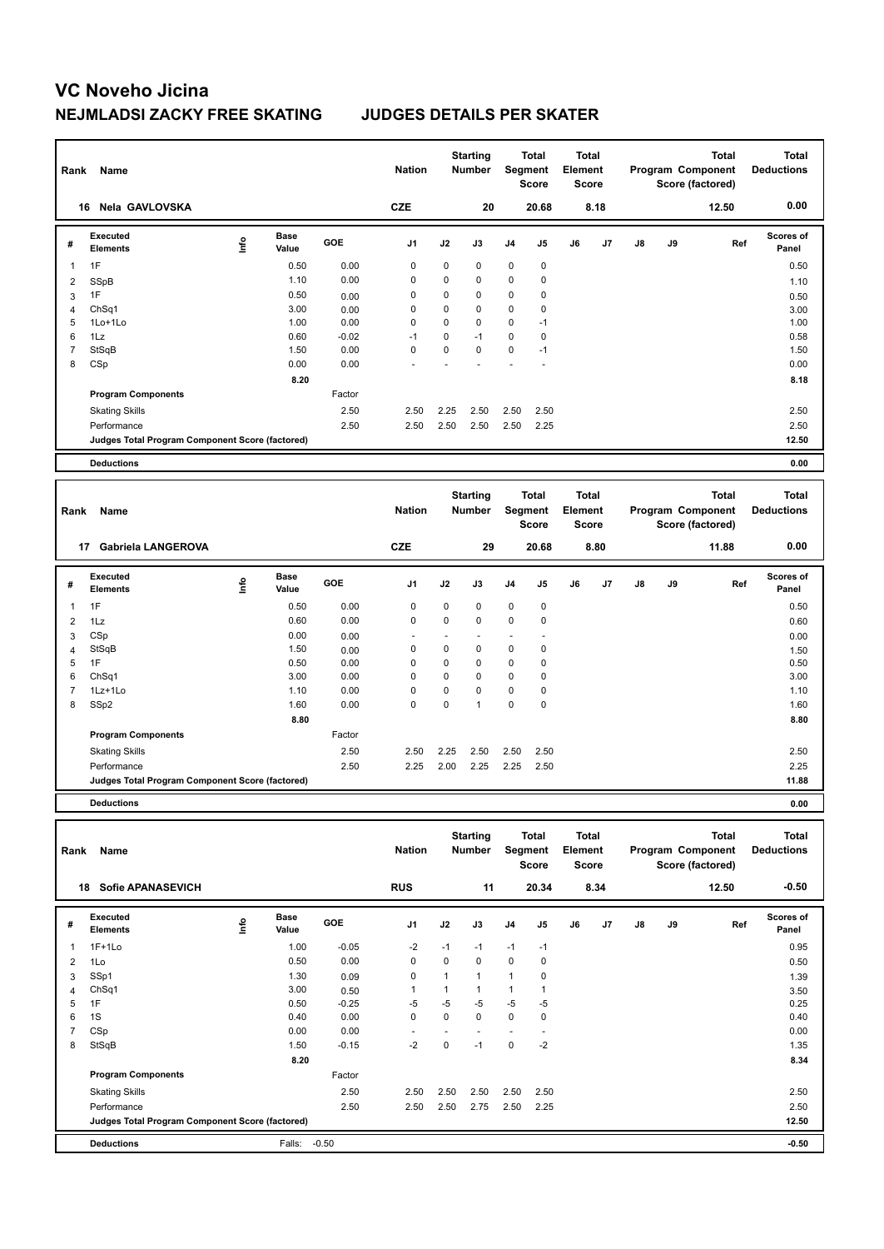| Rank           | Name                                            |      |                      |         | <b>Nation</b>  |             | <b>Starting</b><br><b>Number</b> |                | <b>Total</b><br><b>Segment</b><br>Score | <b>Total</b><br>Element<br><b>Score</b> |      |    |    | <b>Total</b><br>Program Component<br>Score (factored) | <b>Total</b><br><b>Deductions</b> |
|----------------|-------------------------------------------------|------|----------------------|---------|----------------|-------------|----------------------------------|----------------|-----------------------------------------|-----------------------------------------|------|----|----|-------------------------------------------------------|-----------------------------------|
| 16             | Nela GAVLOVSKA                                  |      |                      |         | <b>CZE</b>     |             | 20                               |                | 20.68                                   |                                         | 8.18 |    |    | 12.50                                                 | 0.00                              |
| #              | <b>Executed</b><br><b>Elements</b>              | lnfo | <b>Base</b><br>Value | GOE     | J <sub>1</sub> | J2          | J3                               | J <sub>4</sub> | J <sub>5</sub>                          | J6                                      | J7   | J8 | J9 | Ref                                                   | <b>Scores of</b><br>Panel         |
| 1              | 1F                                              |      | 0.50                 | 0.00    | $\mathbf 0$    | $\mathbf 0$ | 0                                | 0              | $\pmb{0}$                               |                                         |      |    |    |                                                       | 0.50                              |
| 2              | SSpB                                            |      | 1.10                 | 0.00    | 0              | $\mathbf 0$ | 0                                | 0              | $\pmb{0}$                               |                                         |      |    |    |                                                       | 1.10                              |
| 3              | 1F                                              |      | 0.50                 | 0.00    | 0              | $\mathbf 0$ | 0                                | 0              | 0                                       |                                         |      |    |    |                                                       | 0.50                              |
| $\overline{4}$ | ChSq1                                           |      | 3.00                 | 0.00    | $\mathbf 0$    | $\mathbf 0$ | $\mathbf 0$                      | 0              | $\mathbf 0$                             |                                         |      |    |    |                                                       | 3.00                              |
| 5              | 1Lo+1Lo                                         |      | 1.00                 | 0.00    | 0              | $\Omega$    | $\Omega$                         | 0              | $-1$                                    |                                         |      |    |    |                                                       | 1.00                              |
| 6              | 1Lz                                             |      | 0.60                 | $-0.02$ | $-1$           | $\mathbf 0$ | $-1$                             | 0              | $\mathbf 0$                             |                                         |      |    |    |                                                       | 0.58                              |
| $\overline{7}$ | StSqB                                           |      | 1.50                 | 0.00    | $\mathbf 0$    | $\mathbf 0$ | $\mathbf 0$                      | 0              | $-1$                                    |                                         |      |    |    |                                                       | 1.50                              |
| 8              | CSp                                             |      | 0.00                 | 0.00    |                |             |                                  |                |                                         |                                         |      |    |    |                                                       | 0.00                              |
|                |                                                 |      | 8.20                 |         |                |             |                                  |                |                                         |                                         |      |    |    |                                                       | 8.18                              |
|                | <b>Program Components</b>                       |      |                      | Factor  |                |             |                                  |                |                                         |                                         |      |    |    |                                                       |                                   |
|                | <b>Skating Skills</b>                           |      |                      | 2.50    | 2.50           | 2.25        | 2.50                             | 2.50           | 2.50                                    |                                         |      |    |    |                                                       | 2.50                              |
|                | Performance                                     |      |                      | 2.50    | 2.50           | 2.50        | 2.50                             | 2.50           | 2.25                                    |                                         |      |    |    |                                                       | 2.50                              |
|                | Judges Total Program Component Score (factored) |      |                      |         |                |             |                                  |                |                                         |                                         |      |    |    |                                                       | 12.50                             |
|                |                                                 |      |                      |         |                |             |                                  |                |                                         |                                         |      |    |    |                                                       |                                   |
|                | <b>Deductions</b>                               |      |                      |         |                |             |                                  |                |                                         |                                         |      |    |    |                                                       | 0.00                              |
| Rank           | Name                                            |      |                      |         | <b>Nation</b>  |             | <b>Starting</b><br><b>Number</b> |                | <b>Total</b><br>Segment<br><b>Score</b> | <b>Total</b><br>Element<br>Score        |      |    |    | <b>Total</b><br>Program Component<br>Score (factored) | <b>Total</b><br><b>Deductions</b> |
| 17             | <b>Gabriela LANGEROVA</b>                       |      |                      |         | <b>CZE</b>     |             | 29                               |                | 20.68                                   |                                         | 8.80 |    |    | 11.88                                                 | 0.00                              |
| #              | <b>Executed</b><br><b>Elements</b>              | ١nfo | <b>Base</b><br>Value | GOE     | J <sub>1</sub> | J2          | J3                               | J <sub>4</sub> | J5                                      | J6                                      | J7   | J8 | J9 | Ref                                                   | <b>Scores of</b><br>Panel         |
| 1              | 1F                                              |      | 0.50                 | 0.00    | $\mathbf 0$    | $\mathbf 0$ | $\mathbf 0$                      | $\mathbf 0$    | $\pmb{0}$                               |                                         |      |    |    |                                                       | 0.50                              |
| 2              | 1Lz                                             |      | 0.60                 | 0.00    | $\Omega$       | $\Omega$    | $\Omega$                         | $\mathbf 0$    | $\mathbf 0$                             |                                         |      |    |    |                                                       | 0.60                              |
|                | $\sim$ $\sim$                                   |      | $\sim$ $\sim$        |         |                |             |                                  |                |                                         |                                         |      |    |    |                                                       |                                   |

3 CSp 0.00 0.00 - - - - - 0.00 4 StSqB 1.50  $\rm 1.50$   $\rm 0.00$  0  $\rm 0$  0 0  $\rm 0$  0  $\rm 1.50$ 5 1F 0.50 0.00 0 0 0 0 0 0.50 6 ChSq1 3.00 0.00 0 0 0 0 0 3.00 7 1Lz+1Lo 1.10 0.00 0 0 0 0 0 1.10 8 SSp2 1.60 0.00 0 0 1 0 0 1.60  **8.80 8.80 Program Components**  Skating Skills 2.50 2.25 2.50 2.50 2.50 Factor 2.50 2.50 Performance 2.50 2.25 2.00 2.25 2.25 2.50 2.25 **Deductions 0.00 Judges Total Program Component Score (factored) 11.88**

**Total Deductions Total Program Component Score (factored) Total Element Score Total Segment Score Starting Rank Name Nation Number # Executed Elements Base Value GOE J1 J2 J3 J4 J5 J6 J7 J8 J9 Scores of Panel** 1 1F+1Lo 1.00 -0.05 -2 -1 -1 -1 -1 **Ref**  1F+1Lo 0.95 **Info 18 Sofie APANASEVICH RUS 11 20.34 8.34 12.50 -0.50** 2 1Lo 0.50 0.00 0 0 0 0 0 0.50  $3$  SSp1  $3.30$   $0.09$   $0$  1 1 1  $0$   $1.39$   $1.39$ 4 ChSq1 3.00 0.50 1 1 1 1 1 3.50 5 1F 0.50 -0.25 -5 -5 -5 -5 -5 0.25 6 1S 0.40 0.00 0 0 0 0 0 0.40 7 CSp 0.00 0.00 - - - - - 0.00 8 StSqB 1.50 -0.15 -2 0 -1 0 -2 1.35 **8.20** 8.34 **Program Components**  Skating Skills **2.50** 2.50 2.50 2.50 2.50 2.50 2.50 Factor 2.50 2.50 Performance 2.50 2.50 2.50 2.75 2.50 2.25 2.50 **Deductions** Falls: -0.50 **-0.50 Judges Total Program Component Score (factored) 12.50**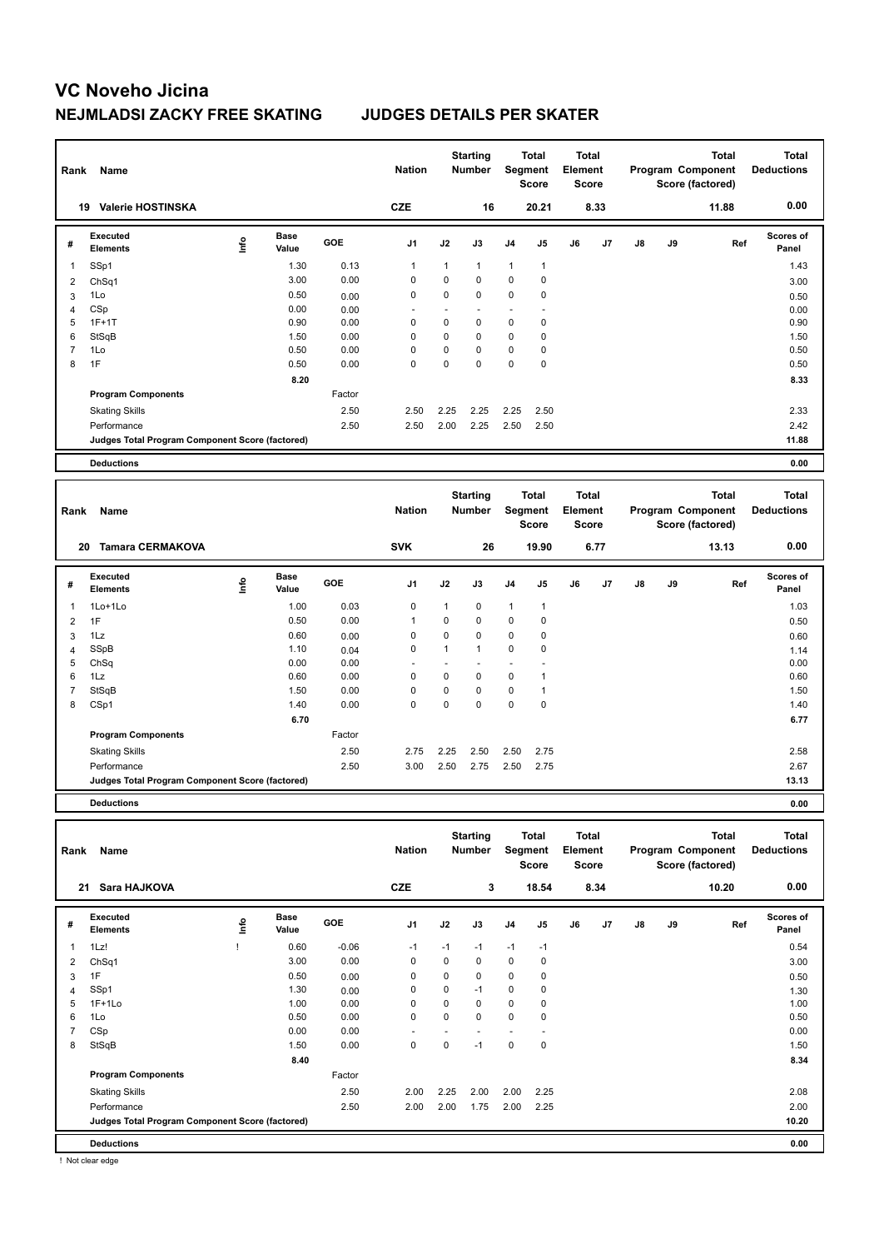| Rank | Name                                            |      |                      |        | <b>Nation</b>  |             | <b>Starting</b><br><b>Number</b> |                | <b>Total</b><br>Segment<br><b>Score</b> | <b>Total</b><br>Element<br>Score |      |    |    | <b>Total</b><br>Program Component<br>Score (factored) | <b>Total</b><br><b>Deductions</b> |
|------|-------------------------------------------------|------|----------------------|--------|----------------|-------------|----------------------------------|----------------|-----------------------------------------|----------------------------------|------|----|----|-------------------------------------------------------|-----------------------------------|
|      | <b>Valerie HOSTINSKA</b><br>19                  |      |                      |        | <b>CZE</b>     |             | 16                               |                | 20.21                                   |                                  | 8.33 |    |    | 11.88                                                 | 0.00                              |
| #    | Executed<br><b>Elements</b>                     | lnfo | <b>Base</b><br>Value | GOE    | J1             | J2          | J3                               | J <sub>4</sub> | J5                                      | J6                               | J7   | J8 | J9 | Ref                                                   | <b>Scores of</b><br>Panel         |
| 1    | SSp1                                            |      | 1.30                 | 0.13   | $\overline{1}$ | 1           | $\mathbf{1}$                     | $\mathbf{1}$   | $\mathbf{1}$                            |                                  |      |    |    |                                                       | 1.43                              |
| 2    | ChSq1                                           |      | 3.00                 | 0.00   | 0              | $\mathbf 0$ | $\mathbf 0$                      | $\mathbf 0$    | 0                                       |                                  |      |    |    |                                                       | 3.00                              |
| 3    | 1Lo                                             |      | 0.50                 | 0.00   | 0              | $\mathbf 0$ | $\mathbf 0$                      | $\mathbf 0$    | $\mathbf 0$                             |                                  |      |    |    |                                                       | 0.50                              |
| 4    | CSp                                             |      | 0.00                 | 0.00   |                |             |                                  | ٠              |                                         |                                  |      |    |    |                                                       | 0.00                              |
| 5    | $1F+1T$                                         |      | 0.90                 | 0.00   | $\mathbf 0$    | $\mathbf 0$ | $\mathbf 0$                      | $\mathbf 0$    | $\mathbf 0$                             |                                  |      |    |    |                                                       | 0.90                              |
| 6    | StSqB                                           |      | 1.50                 | 0.00   | 0              | 0           | $\mathbf 0$                      | $\mathbf 0$    | 0                                       |                                  |      |    |    |                                                       | 1.50                              |
| 7    | 1Lo                                             |      | 0.50                 | 0.00   | 0              | 0           | $\Omega$                         | $\mathbf 0$    | 0                                       |                                  |      |    |    |                                                       | 0.50                              |
| 8    | 1F                                              |      | 0.50                 | 0.00   | $\mathbf 0$    | 0           | $\mathbf 0$                      | $\mathbf 0$    | $\mathbf 0$                             |                                  |      |    |    |                                                       | 0.50                              |
|      |                                                 |      | 8.20                 |        |                |             |                                  |                |                                         |                                  |      |    |    |                                                       | 8.33                              |
|      | <b>Program Components</b>                       |      |                      | Factor |                |             |                                  |                |                                         |                                  |      |    |    |                                                       |                                   |
|      | <b>Skating Skills</b>                           |      |                      | 2.50   | 2.50           | 2.25        | 2.25                             | 2.25           | 2.50                                    |                                  |      |    |    |                                                       | 2.33                              |
|      | Performance                                     |      |                      | 2.50   | 2.50           | 2.00        | 2.25                             | 2.50           | 2.50                                    |                                  |      |    |    |                                                       | 2.42                              |
|      | Judges Total Program Component Score (factored) |      |                      |        |                |             |                                  |                |                                         |                                  |      |    |    |                                                       | 11.88                             |
|      | <b>Deductions</b>                               |      |                      |        |                |             |                                  |                |                                         |                                  |      |    |    |                                                       | 0.00                              |
|      |                                                 |      |                      |        |                |             |                                  |                |                                         |                                  |      |    |    |                                                       |                                   |
| Rank | Name                                            |      |                      |        | <b>Nation</b>  |             | <b>Starting</b><br><b>Number</b> |                | <b>Total</b><br>Segment<br><b>Score</b> | <b>Total</b><br>Element<br>Score |      |    |    | <b>Total</b><br>Program Component<br>Score (factored) | <b>Total</b><br><b>Deductions</b> |
|      | <b>Tamara CERMAKOVA</b><br>20                   |      |                      |        | <b>SVK</b>     |             | 26                               |                | 19.90                                   |                                  | 6.77 |    |    | 13.13                                                 | 0.00                              |
| #    | Executed<br><b>Elements</b>                     | lnfo | <b>Base</b><br>Value | GOE    | J1             | J2          | J3                               | J <sub>4</sub> | J <sub>5</sub>                          | J6                               | J7   | J8 | J9 | Ref                                                   | Scores of<br>Panel                |
| 1    | 1Lo+1Lo                                         |      | 1.00                 | 0.03   | $\mathbf 0$    | 1           | 0                                | $\mathbf{1}$   | $\mathbf{1}$                            |                                  |      |    |    |                                                       | 1.03                              |

 1F 0.50 0.00 1 0 0 0 0 0.50 1Lz 0.60 0.00 0 0 0 0 0 0.60 SSpB 1.10 0.04 0 1 1 0 0 1.14 ChSq 0.00 0.00 - - - - - 0.00 1Lz 0.60 0.00 0 0 0 0 1 0.60 StSqB 1.50 0.00 0 0 0 0 1 1.50 CSp1 1.40 0.00 0 0 0 0 0 1.40

Skating Skills 2.75 2.25 2.50 2.50 2.75 2.50 2.58

Performance 2.50 3.00 2.50 2.75 2.50 2.75 2.67

**Judges Total Program Component Score (factored) 13.13**

 **6.70 6.77**

Factor

**Deductions 0.00**

**Program Components** 

| Rank | Name                                            |   |                      |            | <b>Nation</b>  |          | <b>Starting</b><br><b>Number</b> | Segment        | Total<br><b>Score</b> | <b>Total</b><br>Element<br><b>Score</b> |      |    |    | <b>Total</b><br>Program Component<br>Score (factored) | <b>Total</b><br><b>Deductions</b> |
|------|-------------------------------------------------|---|----------------------|------------|----------------|----------|----------------------------------|----------------|-----------------------|-----------------------------------------|------|----|----|-------------------------------------------------------|-----------------------------------|
| 21   | Sara HAJKOVA                                    |   |                      |            | <b>CZE</b>     |          | 3                                |                | 18.54                 |                                         | 8.34 |    |    | 10.20                                                 | 0.00                              |
| #    | <b>Executed</b><br><b>Elements</b>              | ۴ | <b>Base</b><br>Value | <b>GOE</b> | J <sub>1</sub> | J2       | J3                               | J <sub>4</sub> | J <sub>5</sub>        | J6                                      | J7   | J8 | J9 | Ref                                                   | <b>Scores of</b><br>Panel         |
| 1    | 1Lz!                                            |   | 0.60                 | $-0.06$    | $-1$           | $-1$     | $-1$                             | $-1$           | $-1$                  |                                         |      |    |    |                                                       | 0.54                              |
| 2    | ChSq1                                           |   | 3.00                 | 0.00       | 0              | 0        | 0                                | $\mathbf 0$    | 0                     |                                         |      |    |    |                                                       | 3.00                              |
| 3    | 1F                                              |   | 0.50                 | 0.00       | 0              | 0        | 0                                | $\mathbf 0$    | 0                     |                                         |      |    |    |                                                       | 0.50                              |
| 4    | SSp1                                            |   | 1.30                 | 0.00       | 0              | $\Omega$ | $-1$                             | $\mathbf 0$    | 0                     |                                         |      |    |    |                                                       | 1.30                              |
| 5    | $1F+1Lo$                                        |   | 1.00                 | 0.00       | 0              | $\Omega$ | 0                                | $\mathbf 0$    | 0                     |                                         |      |    |    |                                                       | 1.00                              |
| 6    | 1Lo                                             |   | 0.50                 | 0.00       | $\mathbf 0$    | 0        | 0                                | $\mathbf 0$    | 0                     |                                         |      |    |    |                                                       | 0.50                              |
|      | CSp                                             |   | 0.00                 | 0.00       |                |          |                                  |                |                       |                                         |      |    |    |                                                       | 0.00                              |
| 8    | StSqB                                           |   | 1.50                 | 0.00       | $\mathbf 0$    | $\Omega$ | $-1$                             | $\mathbf 0$    | $\mathbf 0$           |                                         |      |    |    |                                                       | 1.50                              |
|      |                                                 |   | 8.40                 |            |                |          |                                  |                |                       |                                         |      |    |    |                                                       | 8.34                              |
|      | <b>Program Components</b>                       |   |                      | Factor     |                |          |                                  |                |                       |                                         |      |    |    |                                                       |                                   |
|      | <b>Skating Skills</b>                           |   |                      | 2.50       | 2.00           | 2.25     | 2.00                             | 2.00           | 2.25                  |                                         |      |    |    |                                                       | 2.08                              |
|      | Performance                                     |   |                      | 2.50       | 2.00           | 2.00     | 1.75                             | 2.00           | 2.25                  |                                         |      |    |    |                                                       | 2.00                              |
|      | Judges Total Program Component Score (factored) |   |                      |            |                |          |                                  |                |                       |                                         |      |    |    |                                                       | 10.20                             |
|      | <b>Deductions</b>                               |   |                      |            |                |          |                                  |                |                       |                                         |      |    |    |                                                       | 0.00                              |

! Not clear edge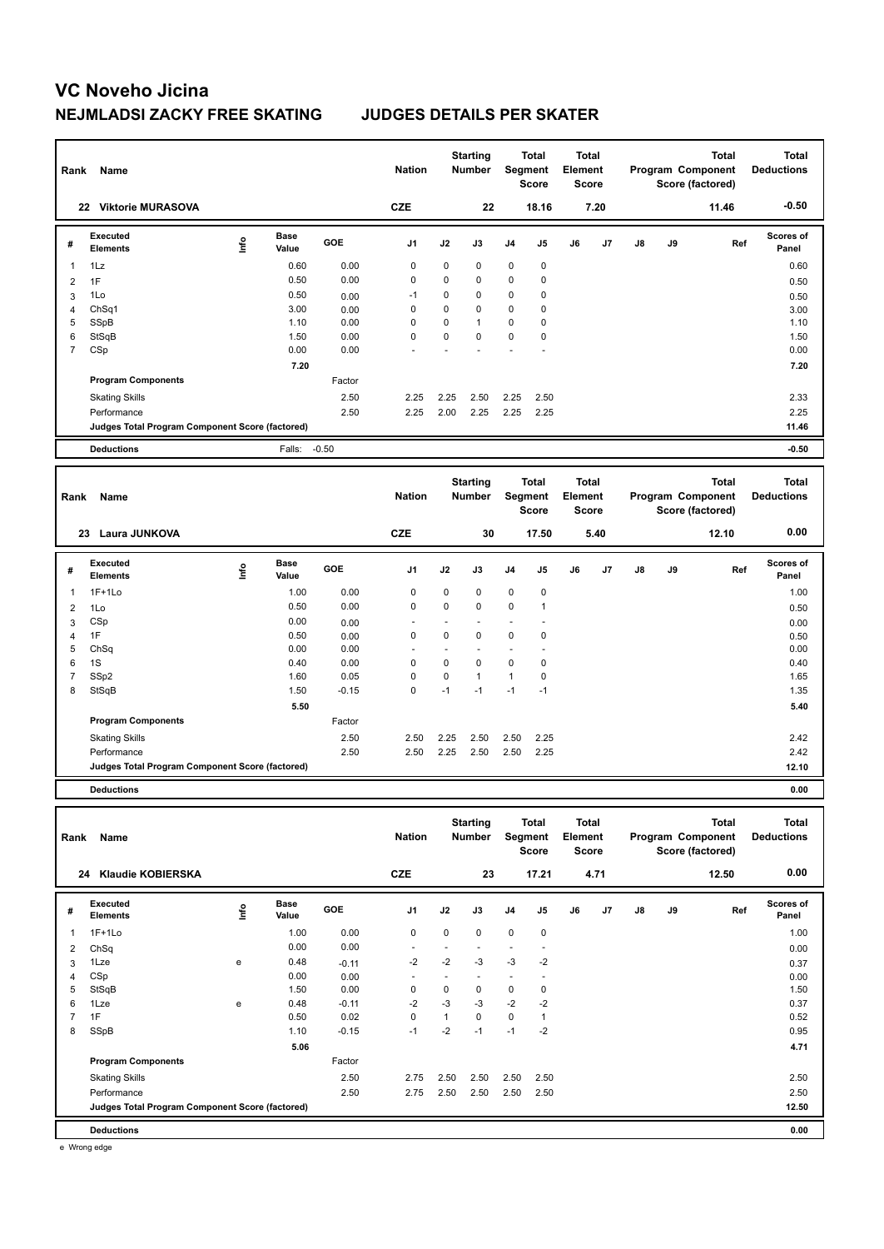| Rank           | Name                                            |      |                      |              | <b>Nation</b>            |                     | <b>Starting</b><br><b>Number</b> |                          | <b>Total</b><br>Segment<br>Score | Element | <b>Total</b><br>Score        |    |    | <b>Total</b><br>Program Component<br>Score (factored) | <b>Total</b><br><b>Deductions</b> |
|----------------|-------------------------------------------------|------|----------------------|--------------|--------------------------|---------------------|----------------------------------|--------------------------|----------------------------------|---------|------------------------------|----|----|-------------------------------------------------------|-----------------------------------|
|                | 22 Viktorie MURASOVA                            |      |                      |              | <b>CZE</b>               |                     | 22                               |                          | 18.16                            |         | 7.20                         |    |    | 11.46                                                 | $-0.50$                           |
| #              | Executed<br><b>Elements</b>                     | ١nf٥ | Base<br>Value        | GOE          | J1                       | J2                  | J3                               | J <sub>4</sub>           | J5                               | J6      | J7                           | J8 | J9 | Ref                                                   | <b>Scores of</b><br>Panel         |
| 1              | 1Lz                                             |      | 0.60                 | 0.00         | 0                        | 0                   | 0                                | 0                        | 0                                |         |                              |    |    |                                                       | 0.60                              |
| $\overline{c}$ | 1F                                              |      | 0.50                 | 0.00         | 0                        | 0                   | $\mathbf 0$                      | 0                        | 0                                |         |                              |    |    |                                                       | 0.50                              |
| 3              | 1Lo                                             |      | 0.50                 | 0.00         | $-1$                     | 0                   | $\mathbf 0$                      | 0                        | 0                                |         |                              |    |    |                                                       | 0.50                              |
| 4              | Ch <sub>Sq1</sub>                               |      | 3.00                 | 0.00         | 0                        | 0                   | 0                                | 0                        | 0                                |         |                              |    |    |                                                       | 3.00                              |
| 5              | SSpB                                            |      | 1.10                 | 0.00         | 0                        | 0                   | $\overline{1}$                   | 0                        | 0                                |         |                              |    |    |                                                       | 1.10                              |
| 6              | StSqB                                           |      | 1.50                 | 0.00         | 0                        | 0                   | $\mathbf 0$                      | 0                        | 0                                |         |                              |    |    |                                                       | 1.50                              |
| $\overline{7}$ | CSp                                             |      | 0.00                 | 0.00         |                          |                     |                                  |                          |                                  |         |                              |    |    |                                                       | 0.00                              |
|                |                                                 |      | 7.20                 |              |                          |                     |                                  |                          |                                  |         |                              |    |    |                                                       | 7.20                              |
|                | <b>Program Components</b>                       |      |                      | Factor       |                          |                     |                                  |                          |                                  |         |                              |    |    |                                                       |                                   |
|                | <b>Skating Skills</b>                           |      |                      | 2.50         | 2.25                     | 2.25                | 2.50                             | 2.25                     | 2.50                             |         |                              |    |    |                                                       | 2.33                              |
|                | Performance                                     |      |                      | 2.50         | 2.25                     | 2.00                | 2.25                             | 2.25                     | 2.25                             |         |                              |    |    |                                                       | 2.25                              |
|                | Judges Total Program Component Score (factored) |      |                      |              |                          |                     |                                  |                          |                                  |         |                              |    |    |                                                       | 11.46                             |
|                | <b>Deductions</b>                               |      | Falls:               | $-0.50$      |                          |                     |                                  |                          |                                  |         |                              |    |    |                                                       | $-0.50$                           |
| Rank           | Name                                            |      |                      |              | <b>Nation</b>            |                     | <b>Starting</b><br><b>Number</b> |                          | <b>Total</b><br>Segment<br>Score | Element | <b>Total</b><br><b>Score</b> |    |    | <b>Total</b><br>Program Component<br>Score (factored) | <b>Total</b><br><b>Deductions</b> |
|                | 23 Laura JUNKOVA                                |      |                      |              | <b>CZE</b>               |                     | 30                               |                          | 17.50                            |         | 5.40                         |    |    | 12.10                                                 | 0.00                              |
| #              | <b>Executed</b><br><b>Elements</b>              | Info | Base<br>Value        | GOE          | J <sub>1</sub>           | J2                  | J3                               | J4                       | J5                               | J6      | J7                           | J8 | J9 | Ref                                                   | <b>Scores of</b><br>Panel         |
| $\mathbf{1}$   | $1F+1Lo$                                        |      | 1.00                 | 0.00         | 0                        | 0                   | 0                                | $\mathbf 0$              | 0                                |         |                              |    |    |                                                       |                                   |
|                |                                                 |      | 0.50                 | 0.00         | $\mathbf 0$              | 0                   | $\mathbf 0$                      | 0                        | 1                                |         |                              |    |    |                                                       | 1.00                              |
| $\overline{2}$ | 1Lo                                             |      | 0.00                 |              |                          |                     | $\ddot{\phantom{1}}$             |                          |                                  |         |                              |    |    |                                                       | 0.50                              |
| 3<br>4         | CSp<br>1F                                       |      | 0.50                 | 0.00<br>0.00 | 0                        | $\blacksquare$<br>0 | $\mathbf 0$                      | ٠<br>$\mathbf 0$         | $\ddot{\phantom{0}}$<br>0        |         |                              |    |    |                                                       | 0.00                              |
| 5              | ChSq                                            |      | 0.00                 | 0.00         |                          | $\overline{a}$      |                                  | ٠                        | $\overline{\phantom{a}}$         |         |                              |    |    |                                                       | 0.50<br>0.00                      |
| 6              | 1S                                              |      | 0.40                 | 0.00         | 0                        | 0                   | $\mathbf 0$                      | 0                        | 0                                |         |                              |    |    |                                                       | 0.40                              |
| $\overline{7}$ | SSp2                                            |      | 1.60                 | 0.05         | 0                        | 0                   | $\mathbf{1}$                     | $\mathbf{1}$             | 0                                |         |                              |    |    |                                                       | 1.65                              |
| 8              | StSqB                                           |      | 1.50                 | $-0.15$      | $\mathbf 0$              | $-1$                | $-1$                             | $-1$                     | $-1$                             |         |                              |    |    |                                                       | 1.35                              |
|                |                                                 |      | 5.50                 |              |                          |                     |                                  |                          |                                  |         |                              |    |    |                                                       | 5.40                              |
|                | <b>Program Components</b>                       |      |                      | Factor       |                          |                     |                                  |                          |                                  |         |                              |    |    |                                                       |                                   |
|                | <b>Skating Skills</b>                           |      |                      | 2.50         | 2.50                     | 2.25                | 2.50                             | 2.50                     | 2.25                             |         |                              |    |    |                                                       | 2.42                              |
|                | Performance                                     |      |                      | 2.50         | 2.50                     | 2.25                | 2.50                             | 2.50                     | 2.25                             |         |                              |    |    |                                                       | 2.42                              |
|                | Judges Total Program Component Score (factored) |      |                      |              |                          |                     |                                  |                          |                                  |         |                              |    |    |                                                       | 12.10                             |
|                | <b>Deductions</b>                               |      |                      |              |                          |                     |                                  |                          |                                  |         |                              |    |    |                                                       | 0.00                              |
|                |                                                 |      |                      |              |                          |                     |                                  |                          |                                  |         |                              |    |    |                                                       |                                   |
| Rank           | Name                                            |      |                      |              | <b>Nation</b>            |                     | <b>Starting</b><br>Number        |                          | Total<br>Segment<br>Score        | Element | <b>Total</b><br>Score        |    |    | <b>Total</b><br>Program Component<br>Score (factored) | <b>Total</b><br><b>Deductions</b> |
|                | 24 Klaudie KOBIERSKA                            |      |                      |              | <b>CZE</b>               |                     | 23                               |                          | 17.21                            |         | 4.71                         |    |    | 12.50                                                 | 0.00                              |
| #              | <b>Executed</b><br><b>Elements</b>              | ١nfo | <b>Base</b><br>Value | GOE          | J1                       | J2                  | J3                               | J4                       | J5                               | J6      | J7                           | J8 | J9 | Ref                                                   | Scores of<br>Panel                |
| 1              | $1F+1Lo$                                        |      | 1.00                 | 0.00         | 0                        | 0                   | $\pmb{0}$                        | $\pmb{0}$                | 0                                |         |                              |    |    |                                                       | 1.00                              |
| $\overline{2}$ | ChSq                                            |      | 0.00                 | 0.00         |                          | ÷                   |                                  | ÷,                       | ÷                                |         |                              |    |    |                                                       | 0.00                              |
| 3              | 1Lze                                            | е    | 0.48                 | $-0.11$      | $-2$                     | $-2$                | -3                               | $-3$                     | $-2$                             |         |                              |    |    |                                                       | 0.37                              |
| 4              | CSp                                             |      | 0.00                 | 0.00         | $\overline{\phantom{a}}$ | ÷,                  |                                  | $\overline{\phantom{a}}$ | ÷,                               |         |                              |    |    |                                                       | 0.00                              |
| 5              | StSqB                                           |      | 1.50                 | 0.00         | 0                        | 0                   | 0                                | 0                        | 0                                |         |                              |    |    |                                                       | 1.50                              |
| 6              | 1Lze                                            | e    | 0.48                 | $-0.11$      | $-2$                     | -3                  | -3                               | $-2$                     | $-2$                             |         |                              |    |    |                                                       | 0.37                              |
| $\overline{7}$ | 1F                                              |      | 0.50                 | 0.02         | 0                        | $\mathbf{1}$        | 0                                | 0                        | $\mathbf{1}$                     |         |                              |    |    |                                                       | 0.52                              |
| 8              | SSpB                                            |      | 1.10                 | $-0.15$      | $-1$                     | $-2$                | $-1$                             | $-1$                     | $-2$                             |         |                              |    |    |                                                       | 0.95                              |
|                |                                                 |      | 5.06                 |              |                          |                     |                                  |                          |                                  |         |                              |    |    |                                                       | 4.71                              |
|                | <b>Program Components</b>                       |      |                      | Factor       |                          |                     |                                  |                          |                                  |         |                              |    |    |                                                       |                                   |
|                | <b>Skating Skills</b>                           |      |                      | 2.50         | 2.75                     | 2.50                | 2.50                             | 2.50                     | 2.50                             |         |                              |    |    |                                                       | 2.50                              |
|                | Performance                                     |      |                      | 2.50         | 2.75                     | 2.50                | 2.50                             | 2.50                     | 2.50                             |         |                              |    |    |                                                       | 2.50                              |
|                | Judges Total Program Component Score (factored) |      |                      |              |                          |                     |                                  |                          |                                  |         |                              |    |    |                                                       | 12.50                             |
|                | <b>Deductions</b>                               |      |                      |              |                          |                     |                                  |                          |                                  |         |                              |    |    |                                                       | 0.00                              |

e Wrong edge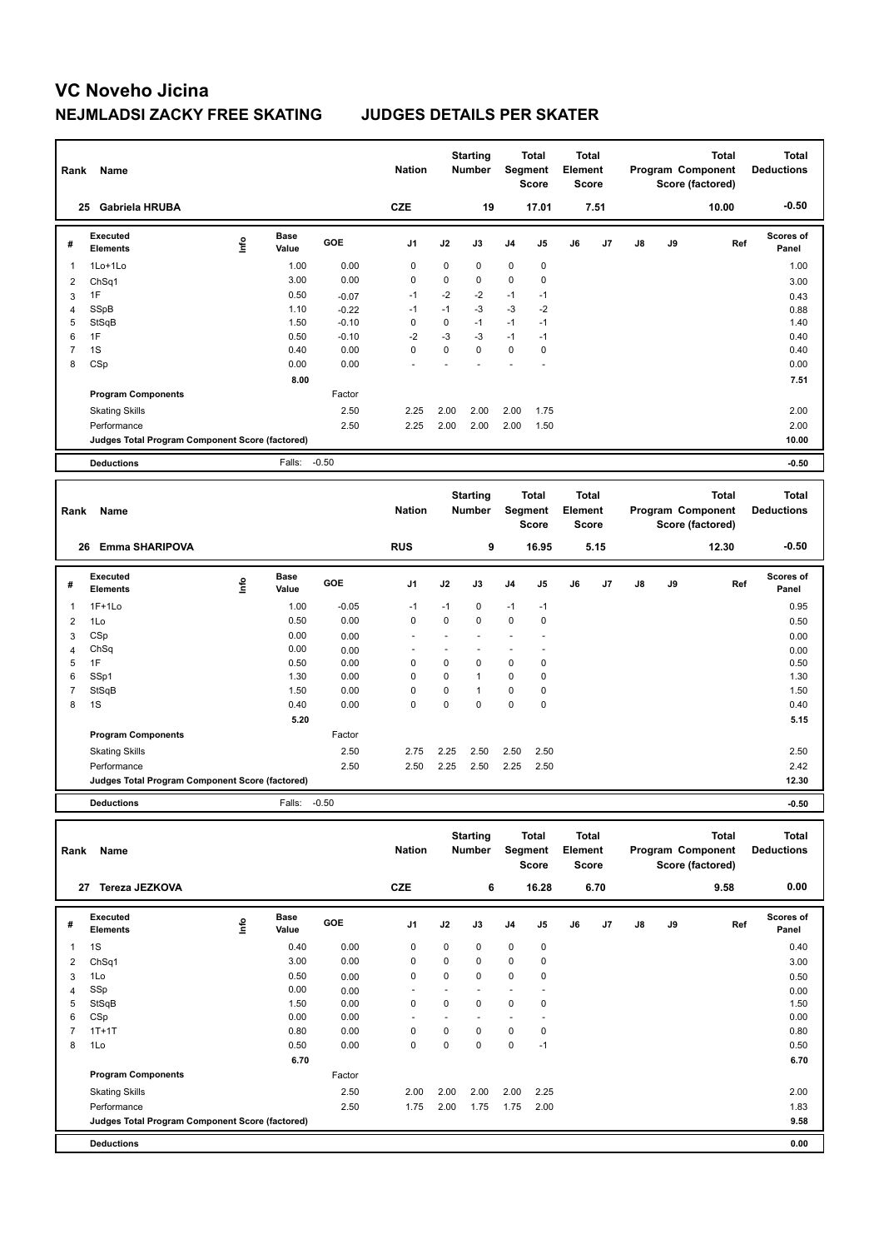| Rank | Name                                            |      |                      |            | <b>Nation</b>  |             | <b>Starting</b><br><b>Number</b> |                | <b>Total</b><br>Segment<br><b>Score</b> | <b>Total</b><br>Element<br>Score        |      |    |    | <b>Total</b><br>Program Component<br>Score (factored) | <b>Total</b><br><b>Deductions</b> |
|------|-------------------------------------------------|------|----------------------|------------|----------------|-------------|----------------------------------|----------------|-----------------------------------------|-----------------------------------------|------|----|----|-------------------------------------------------------|-----------------------------------|
|      | <b>Gabriela HRUBA</b><br>25                     |      |                      |            | <b>CZE</b>     |             | 19                               |                | 17.01                                   |                                         | 7.51 |    |    | 10.00                                                 | $-0.50$                           |
| #    | <b>Executed</b><br><b>Elements</b>              | ١nf٥ | <b>Base</b><br>Value | <b>GOE</b> | J <sub>1</sub> | J2          | J3                               | J <sub>4</sub> | J5                                      | J6                                      | J7   | J8 | J9 | Ref                                                   | <b>Scores of</b><br>Panel         |
| 1    | 1Lo+1Lo                                         |      | 1.00                 | 0.00       | 0              | 0           | 0                                | 0              | 0                                       |                                         |      |    |    |                                                       | 1.00                              |
| 2    | ChSq1                                           |      | 3.00                 | 0.00       | 0              | 0           | 0                                | 0              | 0                                       |                                         |      |    |    |                                                       | 3.00                              |
| 3    | 1F                                              |      | 0.50                 | $-0.07$    | -1             | $-2$        | $-2$                             | $-1$           | $-1$                                    |                                         |      |    |    |                                                       | 0.43                              |
| 4    | SSpB                                            |      | 1.10                 | $-0.22$    | $-1$           | $-1$        | $-3$                             | $-3$           | $-2$                                    |                                         |      |    |    |                                                       | 0.88                              |
| 5    | StSqB                                           |      | 1.50                 | $-0.10$    | 0              | 0           | $-1$                             | $-1$           | $-1$                                    |                                         |      |    |    |                                                       | 1.40                              |
| 6    | 1F                                              |      | 0.50                 | $-0.10$    | $-2$           | $-3$        | $-3$                             | $-1$           | $-1$                                    |                                         |      |    |    |                                                       | 0.40                              |
| 7    | 1S                                              |      | 0.40                 | 0.00       | $\mathbf 0$    | $\mathbf 0$ | $\mathbf 0$                      | 0              | $\mathbf 0$                             |                                         |      |    |    |                                                       | 0.40                              |
| 8    | CSp                                             |      | 0.00                 | 0.00       |                |             |                                  |                |                                         |                                         |      |    |    |                                                       | 0.00                              |
|      |                                                 |      | 8.00                 |            |                |             |                                  |                |                                         |                                         |      |    |    |                                                       | 7.51                              |
|      | <b>Program Components</b>                       |      |                      | Factor     |                |             |                                  |                |                                         |                                         |      |    |    |                                                       |                                   |
|      | <b>Skating Skills</b>                           |      |                      | 2.50       | 2.25           | 2.00        | 2.00                             | 2.00           | 1.75                                    |                                         |      |    |    |                                                       | 2.00                              |
|      | Performance                                     |      |                      | 2.50       | 2.25           | 2.00        | 2.00                             | 2.00           | 1.50                                    |                                         |      |    |    |                                                       | 2.00                              |
|      | Judges Total Program Component Score (factored) |      |                      |            |                |             |                                  |                |                                         |                                         |      |    |    |                                                       | 10.00                             |
|      | <b>Deductions</b>                               |      | Falls:               | $-0.50$    |                |             |                                  |                |                                         |                                         |      |    |    |                                                       | $-0.50$                           |
|      |                                                 |      |                      |            |                |             |                                  |                |                                         |                                         |      |    |    |                                                       |                                   |
| Rank | Name                                            |      |                      |            | <b>Nation</b>  |             | <b>Starting</b><br><b>Number</b> | Segment        | <b>Total</b><br><b>Score</b>            | <b>Total</b><br>Element<br><b>Score</b> |      |    |    | <b>Total</b><br>Program Component<br>Score (factored) | <b>Total</b><br><b>Deductions</b> |
|      | <b>Emma SHARIPOVA</b><br>26                     |      |                      |            | <b>RUS</b>     |             | 9                                |                | 16.95                                   |                                         | 5.15 |    |    | 12.30                                                 | $-0.50$                           |

**Value GOE J1 J2 J3 J4 J5 J6 J7 J8 J9** 

 **5.20 5.15**

1F+1Lo 0.95 **Info**

Skating Skills 2.75 2.25 2.50 2.50 2.50 2.50 2.50

Performance 2.50 2.50 2.25 2.50 2.25 2.50 2.42

 1Lo 0.50 0.00 0 0 0 0 0 0.50 CSp 0.00 0.00 - - - - - 0.00 ChSq 0.00 0.00 - - - - - 0.00 1F 0.50 0.00 0 0 0 0 0 0.50 SSp1 1.30 0.00 0 0 1 0 0 1.30 StSqB 1.50 0.00 0 0 1 0 0 1.50 1S 0.40 0.00 0 0 0 0 0 0.40

**Scores of Panel**

**Ref** 

**Judges Total Program Component Score (factored) 12.30**

**Base** 

1 1F+1Lo 1.00 -0.05 -1 -1 0 -1 -1

Factor

**Deductions** Falls: -0.50 **-0.50**

**Program Components** 

**#** 

**Executed Elements** 

| Name                        |             |                      |                                                 | <b>Nation</b>  |             |      |                                  |             |                                           |                |                                                 |    | <b>Total</b> | <b>Total</b><br><b>Deductions</b>     |
|-----------------------------|-------------|----------------------|-------------------------------------------------|----------------|-------------|------|----------------------------------|-------------|-------------------------------------------|----------------|-------------------------------------------------|----|--------------|---------------------------------------|
| Tereza JEZKOVA              |             |                      |                                                 | <b>CZE</b>     |             |      |                                  |             |                                           |                |                                                 |    | 9.58         | 0.00                                  |
| Executed<br><b>Elements</b> | <b>Info</b> | <b>Base</b><br>Value | GOE                                             | J <sub>1</sub> | J2          | J3   | J <sub>4</sub>                   | J5          | J6                                        | J <sub>7</sub> | J8                                              | J9 | Ref          | <b>Scores of</b><br>Panel             |
| 1S                          |             | 0.40                 | 0.00                                            | $\mathbf 0$    | $\mathbf 0$ | 0    | $\mathbf 0$                      | $\mathbf 0$ |                                           |                |                                                 |    |              | 0.40                                  |
| ChSq1                       |             | 3.00                 | 0.00                                            | 0              | 0           | 0    | $\mathbf 0$                      | 0           |                                           |                |                                                 |    |              | 3.00                                  |
| 1Lo                         |             | 0.50                 | 0.00                                            | $\mathbf 0$    | $\mathbf 0$ | 0    | $\mathbf 0$                      | $\mathbf 0$ |                                           |                |                                                 |    |              | 0.50                                  |
| SSp                         |             | 0.00                 | 0.00                                            | ۰              |             |      | ۰                                |             |                                           |                |                                                 |    |              | 0.00                                  |
| StSqB                       |             | 1.50                 | 0.00                                            | $\mathbf 0$    | 0           | 0    | $\mathbf 0$                      | 0           |                                           |                |                                                 |    |              | 1.50                                  |
| CSp                         |             | 0.00                 | 0.00                                            |                |             |      |                                  |             |                                           |                |                                                 |    |              | 0.00                                  |
| $1T+1T$                     |             | 0.80                 | 0.00                                            | $\mathbf 0$    | 0           | 0    | $\mathbf 0$                      | $\mathbf 0$ |                                           |                |                                                 |    |              | 0.80                                  |
| 1Lo                         |             | 0.50                 | 0.00                                            | $\pmb{0}$      | $\mathbf 0$ | 0    | $\mathbf 0$                      | $-1$        |                                           |                |                                                 |    |              | 0.50                                  |
|                             |             | 6.70                 |                                                 |                |             |      |                                  |             |                                           |                |                                                 |    |              | 6.70                                  |
| <b>Program Components</b>   |             |                      | Factor                                          |                |             |      |                                  |             |                                           |                |                                                 |    |              |                                       |
| <b>Skating Skills</b>       |             |                      | 2.50                                            | 2.00           | 2.00        | 2.00 | 2.00                             | 2.25        |                                           |                |                                                 |    |              | 2.00                                  |
| Performance                 |             |                      | 2.50                                            | 1.75           | 2.00        | 1.75 | 1.75                             | 2.00        |                                           |                |                                                 |    |              | 1.83                                  |
|                             |             |                      |                                                 |                |             |      |                                  |             |                                           |                |                                                 |    |              | 9.58                                  |
| <b>Deductions</b>           |             |                      |                                                 |                |             |      |                                  |             |                                           |                |                                                 |    |              | 0.00                                  |
|                             | Rank<br>27  |                      | Judges Total Program Component Score (factored) |                |             |      | <b>Starting</b><br><b>Number</b> | 6           | Total<br>Segment<br><b>Score</b><br>16.28 |                | <b>Total</b><br>Element<br><b>Score</b><br>6.70 |    |              | Program Component<br>Score (factored) |